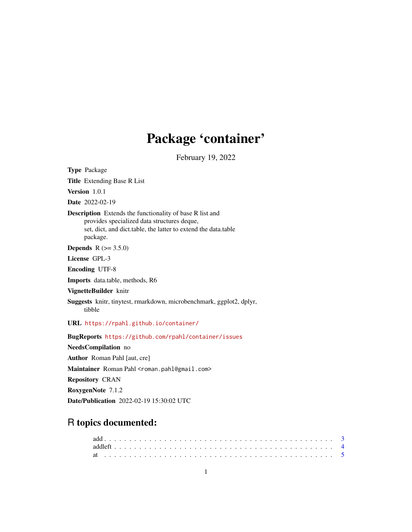# Package 'container'

February 19, 2022

<span id="page-0-0"></span>Type Package Title Extending Base R List Version 1.0.1 Date 2022-02-19 Description Extends the functionality of base R list and provides specialized data structures deque, set, dict, and dict.table, the latter to extend the data.table package. **Depends** R  $(>= 3.5.0)$ License GPL-3 Encoding UTF-8 Imports data.table, methods, R6 VignetteBuilder knitr Suggests knitr, tinytest, rmarkdown, microbenchmark, ggplot2, dplyr, tibble URL <https://rpahl.github.io/container/> BugReports <https://github.com/rpahl/container/issues> NeedsCompilation no Author Roman Pahl [aut, cre] Maintainer Roman Pahl <roman.pahl@gmail.com> Repository CRAN RoxygenNote 7.1.2

Date/Publication 2022-02-19 15:30:02 UTC

## R topics documented: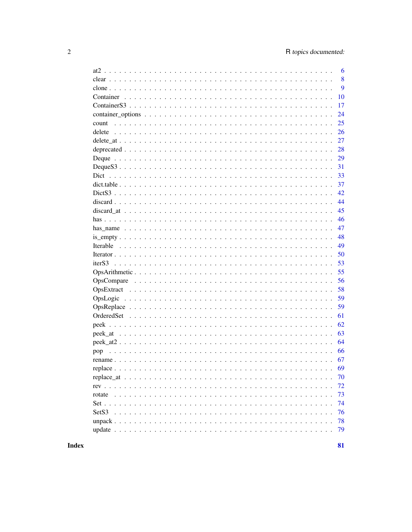|          | 6  |
|----------|----|
|          | 8  |
|          | 9  |
|          | 10 |
|          | 17 |
|          | 24 |
|          | 25 |
|          | 26 |
|          | 27 |
|          | 28 |
|          | 29 |
|          | 31 |
|          | 33 |
|          | 37 |
|          | 42 |
|          | 44 |
|          | 45 |
|          | 46 |
|          | 47 |
|          | 48 |
|          | 49 |
|          | 50 |
|          | 53 |
|          | 55 |
|          | 56 |
|          | 58 |
| OpsLogic | 59 |
|          | 59 |
|          | 61 |
|          | 62 |
|          | 63 |
|          | 64 |
| pop      | 66 |
|          | 67 |
|          | 69 |
|          | 70 |
|          | 72 |
|          | 73 |
|          | 74 |
|          | 76 |
|          | 78 |
|          | 79 |
|          |    |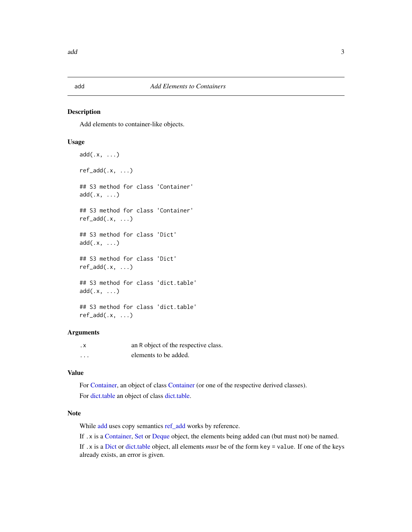<span id="page-2-1"></span><span id="page-2-0"></span>

#### <span id="page-2-2"></span>Description

Add elements to container-like objects.

## Usage

```
add(.x, \ldots)ref\_add(.x, ...)## S3 method for class 'Container'
add(x, \ldots)## S3 method for class 'Container'
ref\_add(.x, ...)## S3 method for class 'Dict'
add(x, \ldots)## S3 method for class 'Dict'
ref\_add(.x, ...)## S3 method for class 'dict.table'
add(.x, ...)
## S3 method for class 'dict.table'
ref\_add(.x, \ldots)
```
## Arguments

| . х      | an R object of the respective class. |
|----------|--------------------------------------|
| $\cdots$ | elements to be added.                |

## Value

For [Container,](#page-9-1) an object of class [Container](#page-9-1) (or one of the respective derived classes). For [dict.table](#page-36-1) an object of class [dict.table.](#page-36-1)

## Note

While [add](#page-2-1) uses copy semantics [ref\\_add](#page-2-2) works by reference.

If .x is a [Container,](#page-9-1) [Set](#page-73-1) or [Deque](#page-28-1) object, the elements being added can (but must not) be named.

If .x is a [Dict](#page-32-1) or [dict.table](#page-36-1) object, all elements *must* be of the form key = value. If one of the keys already exists, an error is given.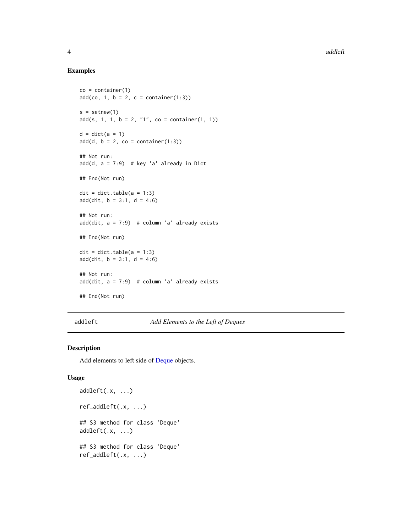## Examples

```
co = container(1)add(co, 1, b = 2, c = container(1:3))s = setnew(1)add(s, 1, 1, b = 2, "1", co = container(1, 1))d = dict(a = 1)add(d, b = 2, co = container(1:3))## Not run:
add(d, a = 7:9) # key 'a' already in Dict
## End(Not run)
\text{dit} = \text{dict}.\text{table}(a = 1:3)add(dit, b = 3:1, d = 4:6)## Not run:
add(dit, a = 7:9) # column 'a' already exists
## End(Not run)
\text{dit} = \text{dict}.\text{table(a = 1:3)}add(dit, b = 3:1, d = 4:6)## Not run:
add(dit, a = 7:9) # column 'a' already exists
## End(Not run)
```
<span id="page-3-1"></span>addleft *Add Elements to the Left of Deques*

## <span id="page-3-2"></span>Description

Add elements to left side of [Deque](#page-28-1) objects.

#### Usage

```
addleft(.x, ...)
ref_addleft(.x, ...)
## S3 method for class 'Deque'
addleft(x, ...## S3 method for class 'Deque'
ref_addleft(.x, ...)
```
<span id="page-3-0"></span>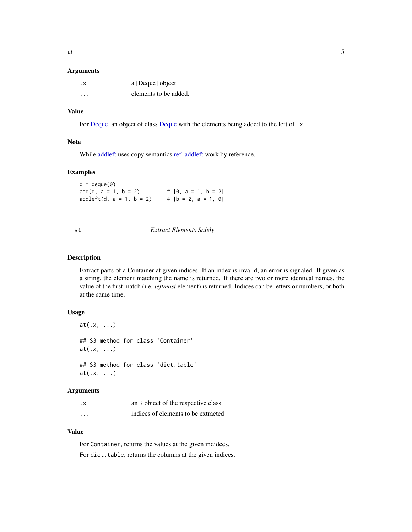#### <span id="page-4-0"></span>Arguments

| . х | a [Deque] object      |
|-----|-----------------------|
| .   | elements to be added. |

## Value

For [Deque,](#page-28-1) an object of class [Deque](#page-28-1) with the elements being added to the left of .x.

#### Note

While [addleft](#page-3-1) uses copy semantics [ref\\_addleft](#page-3-2) work by reference.

#### Examples

 $d = \text{deque}(0)$  $add(d, a = 1, b = 2)$  #  $|0, a = 1, b = 2|$  $addleft(d, a = 1, b = 2)$  #  $|b = 2, a = 1, 0|$ 

#### at *Extract Elements Safely*

#### Description

Extract parts of a Container at given indices. If an index is invalid, an error is signaled. If given as a string, the element matching the name is returned. If there are two or more identical names, the value of the first match (i.e. *leftmost* element) is returned. Indices can be letters or numbers, or both at the same time.

#### Usage

```
at(.x, \ldots)## S3 method for class 'Container'
at(.x, \ldots)## S3 method for class 'dict.table'
at(.x, \ldots)
```
## Arguments

| . х      | an R object of the respective class. |
|----------|--------------------------------------|
| $\cdots$ | indices of elements to be extracted  |

## Value

For Container, returns the values at the given indidces. For dict.table, returns the columns at the given indices.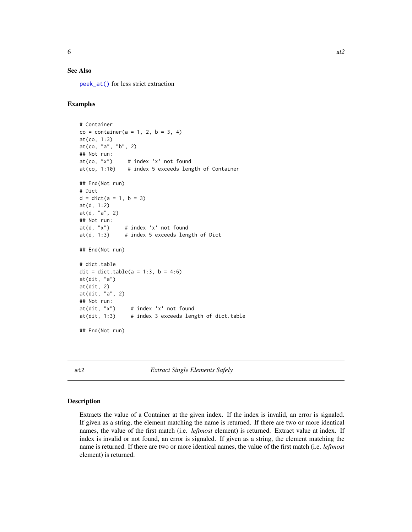## <span id="page-5-0"></span>See Also

[peek\\_at\(\)](#page-62-1) for less strict extraction

## Examples

```
# Container
co = container(a = 1, 2, b = 3, 4)at(co, 1:3)
at(co, "a", "b", 2)
## Not run:
at(co, "x") # index 'x' not found
at(co, 1:10) # index 5 exceeds length of Container
## End(Not run)
# Dict
d = dict(a = 1, b = 3)at(d, 1:2)
at(d, "a", 2)
## Not run:
at(d, "x") # index 'x' not found
at(d, 1:3) # index 5 exceeds length of Dict
## End(Not run)
# dict.table
dit = dict.table(a = 1:3, b = 4:6)
at(dit, "a")
at(dit, 2)
at(dit, "a", 2)
## Not run:
at(dit, "x") # index 'x' not found
at(dit, 1:3) # index 3 exceeds length of dict.table
## End(Not run)
```
<span id="page-5-1"></span>at2 *Extract Single Elements Safely*

#### Description

Extracts the value of a Container at the given index. If the index is invalid, an error is signaled. If given as a string, the element matching the name is returned. If there are two or more identical names, the value of the first match (i.e. *leftmost* element) is returned. Extract value at index. If index is invalid or not found, an error is signaled. If given as a string, the element matching the name is returned. If there are two or more identical names, the value of the first match (i.e. *leftmost* element) is returned.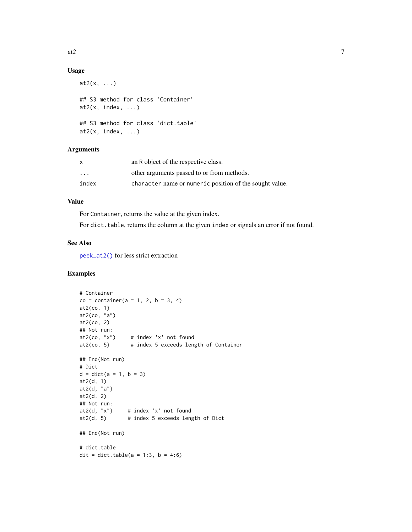## Usage

```
at2(x, \ldots)## S3 method for class 'Container'
at2(x, index, ...)## S3 method for class 'dict.table'
at2(x, index, ...)
```
## Arguments

| X       | an R object of the respective class.                    |
|---------|---------------------------------------------------------|
| $\cdot$ | other arguments passed to or from methods.              |
| index   | character name or numeric position of the sought value. |

## Value

For Container, returns the value at the given index.

For dict.table, returns the column at the given index or signals an error if not found.

## See Also

[peek\\_at2\(\)](#page-63-1) for less strict extraction

```
# Container
co = container(a = 1, 2, b = 3, 4)at2(co, 1)
at2(co, "a")
at2(co, 2)
## Not run:
at2(co, 'x") # index 'x' not found
at2(co, 5) # index 5 exceeds length of Container
## End(Not run)
# Dict
d = dict(a = 1, b = 3)at2(d, 1)
at2(d, "a")
at2(d, 2)
## Not run:<br>at2(d, "x")
               # index 'x' not found
at2(d, 5) # index 5 exceeds length of Dict
## End(Not run)
# dict.table
dit = dict.table(a = 1:3, b = 4:6)
```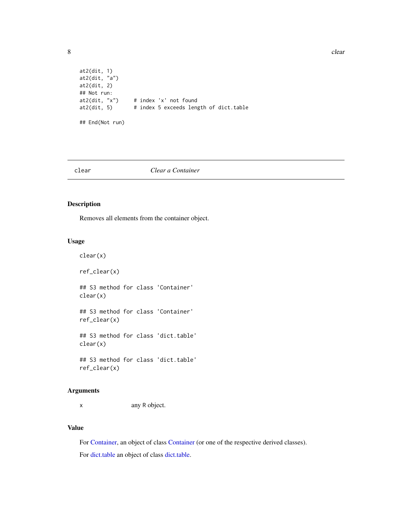<span id="page-7-0"></span>8 clear to the contract of the contract of the contract of the contract of the contract of the contract of the contract of the contract of the contract of the contract of the contract of the contract of the contract of the

```
at2(dit, 1)
at2(dit, "a")
at2(dit, 2)
## Not run:
at2(dit, "x") # index 'x' not found<br>at2(dit, 5) # index 5 exceeds leng
                      # index 5 exceeds length of dict.table
## End(Not run)
```
clear *Clear a Container*

## Description

Removes all elements from the container object.

## Usage

clear(x)

ref\_clear(x)

## S3 method for class 'Container' clear(x)

## S3 method for class 'Container' ref\_clear(x)

## S3 method for class 'dict.table' clear(x)

## S3 method for class 'dict.table' ref\_clear(x)

#### Arguments

x any R object.

## Value

For [Container,](#page-9-1) an object of class [Container](#page-9-1) (or one of the respective derived classes). For [dict.table](#page-36-1) an object of class [dict.table.](#page-36-1)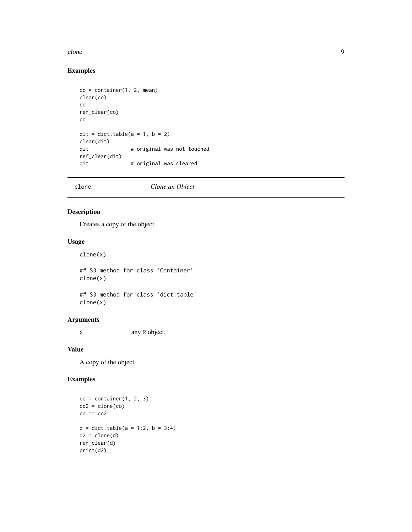#### <span id="page-8-0"></span>clone 99

## Examples

```
co = container(1, 2, mean)clear(co)
co
ref_clear(co)
co
\text{dit} = \text{dict_table}(a = 1, b = 2)clear(dit)
dit # original was not touched
ref_clear(dit)
dit # original was cleared
```
clone *Clone an Object*

## Description

Creates a copy of the object.

## Usage

clone(x)

## S3 method for class 'Container' clone(x)

## S3 method for class 'dict.table' clone(x)

## Arguments

x any R object.

## Value

A copy of the object.

```
co = container(1, 2, 3)co2 = clone(co)co == co2d = dict.table(a = 1:2, b = 3:4)d2 = clone(d)ref_clear(d)
print(d2)
```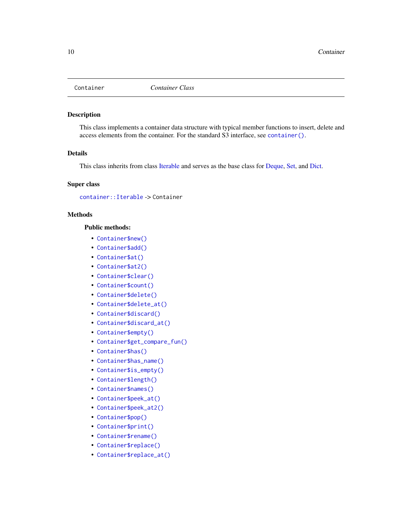<span id="page-9-1"></span><span id="page-9-0"></span>

## Description

This class implements a container data structure with typical member functions to insert, delete and access elements from the container. For the standard S3 interface, see [container\(\)](#page-16-1).

## Details

This class inherits from class [Iterable](#page-48-1) and serves as the base class for [Deque,](#page-28-1) [Set,](#page-73-1) and [Dict.](#page-32-1)

## Super class

[container::Iterable](#page-0-0) -> Container

## **Methods**

#### Public methods:

- [Container\\$new\(\)](#page-10-0)
- [Container\\$add\(\)](#page-10-1)
- [Container\\$at\(\)](#page-10-2)
- [Container\\$at2\(\)](#page-10-3)
- [Container\\$clear\(\)](#page-10-4)
- [Container\\$count\(\)](#page-11-0)
- [Container\\$delete\(\)](#page-11-1)
- [Container\\$delete\\_at\(\)](#page-11-2)
- [Container\\$discard\(\)](#page-11-3)
- [Container\\$discard\\_at\(\)](#page-11-4)
- [Container\\$empty\(\)](#page-11-5)
- [Container\\$get\\_compare\\_fun\(\)](#page-12-0)
- [Container\\$has\(\)](#page-12-1)
- [Container\\$has\\_name\(\)](#page-12-2)
- [Container\\$is\\_empty\(\)](#page-12-3)
- [Container\\$length\(\)](#page-12-4)
- [Container\\$names\(\)](#page-12-5)
- [Container\\$peek\\_at\(\)](#page-12-6)
- [Container\\$peek\\_at2\(\)](#page-13-0)
- [Container\\$pop\(\)](#page-13-1)
- [Container\\$print\(\)](#page-13-2)
- [Container\\$rename\(\)](#page-13-3)
- [Container\\$replace\(\)](#page-13-4)
- [Container\\$replace\\_at\(\)](#page-14-0)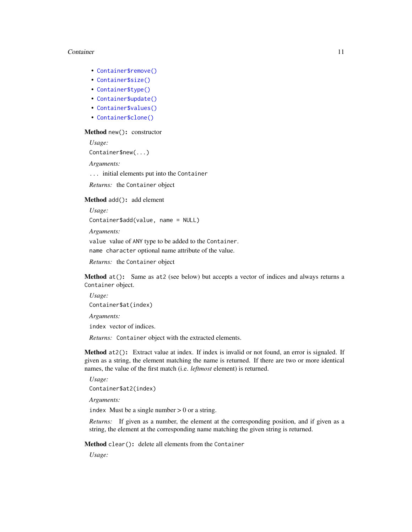- [Container\\$remove\(\)](#page-14-1)
- [Container\\$size\(\)](#page-14-2)
- [Container\\$type\(\)](#page-14-3)
- [Container\\$update\(\)](#page-14-4)
- [Container\\$values\(\)](#page-15-0)
- [Container\\$clone\(\)](#page-15-1)

#### <span id="page-10-0"></span>Method new(): constructor

*Usage:*

Container\$new(...)

*Arguments:*

... initial elements put into the Container

*Returns:* the Container object

#### <span id="page-10-1"></span>Method add(): add element

*Usage:*

```
Container$add(value, name = NULL)
```
*Arguments:*

value value of ANY type to be added to the Container.

name character optional name attribute of the value.

*Returns:* the Container object

<span id="page-10-2"></span>Method at(): Same as at2 (see below) but accepts a vector of indices and always returns a Container object.

*Usage:* Container\$at(index) *Arguments:*

index vector of indices.

*Returns:* Container object with the extracted elements.

<span id="page-10-3"></span>Method at 2(): Extract value at index. If index is invalid or not found, an error is signaled. If given as a string, the element matching the name is returned. If there are two or more identical names, the value of the first match (i.e. *leftmost* element) is returned.

*Usage:*

Container\$at2(index)

*Arguments:*

index Must be a single number  $> 0$  or a string.

*Returns:* If given as a number, the element at the corresponding position, and if given as a string, the element at the corresponding name matching the given string is returned.

<span id="page-10-4"></span>Method clear(): delete all elements from the Container

*Usage:*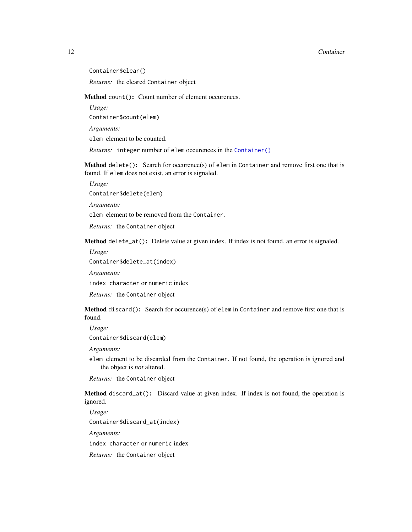Container\$clear()

*Returns:* the cleared Container object

<span id="page-11-0"></span>Method count(): Count number of element occurences.

*Usage:*

Container\$count(elem)

*Arguments:*

elem element to be counted.

*Returns:* integer number of elem occurences in the [Container\(\)](#page-9-1)

<span id="page-11-1"></span>Method delete(): Search for occurence(s) of elem in Container and remove first one that is found. If elem does not exist, an error is signaled.

*Usage:*

Container\$delete(elem)

*Arguments:*

elem element to be removed from the Container.

*Returns:* the Container object

<span id="page-11-2"></span>Method delete\_at(): Delete value at given index. If index is not found, an error is signaled.

*Usage:*

Container\$delete\_at(index)

*Arguments:*

index character or numeric index

*Returns:* the Container object

<span id="page-11-3"></span>Method discard(): Search for occurence(s) of elem in Container and remove first one that is found.

*Usage:*

Container\$discard(elem)

*Arguments:*

elem element to be discarded from the Container. If not found, the operation is ignored and the object is *not* altered.

*Returns:* the Container object

<span id="page-11-4"></span>Method discard\_at(): Discard value at given index. If index is not found, the operation is ignored.

*Usage:*

Container\$discard\_at(index)

*Arguments:*

index character or numeric index

<span id="page-11-5"></span>*Returns:* the Container object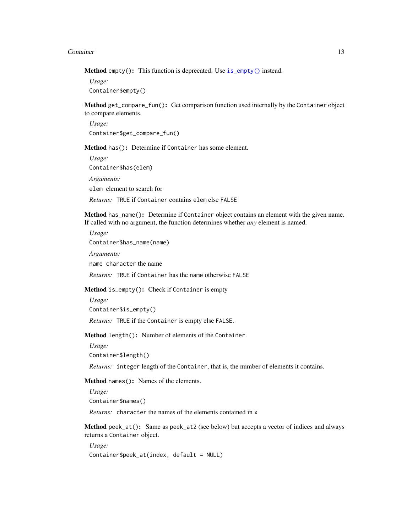Method empty(): This function is deprecated. Use [is\\_empty\(\)](#page-47-1) instead.

*Usage:* Container\$empty()

<span id="page-12-0"></span>Method get\_compare\_fun(): Get comparison function used internally by the Container object to compare elements.

*Usage:* Container\$get\_compare\_fun()

<span id="page-12-1"></span>Method has(): Determine if Container has some element.

*Usage:* Container\$has(elem) *Arguments:* elem element to search for *Returns:* TRUE if Container contains elem else FALSE

<span id="page-12-2"></span>Method has\_name(): Determine if Container object contains an element with the given name. If called with no argument, the function determines whether *any* element is named.

*Usage:* Container\$has\_name(name) *Arguments:* name character the name

*Returns:* TRUE if Container has the name otherwise FALSE

<span id="page-12-3"></span>Method is\_empty(): Check if Container is empty

*Usage:*

```
Container$is_empty()
```
*Returns:* TRUE if the Container is empty else FALSE.

<span id="page-12-4"></span>Method length(): Number of elements of the Container.

*Usage:*

```
Container$length()
```
*Returns:* integer length of the Container, that is, the number of elements it contains.

<span id="page-12-5"></span>Method names(): Names of the elements.

*Usage:*

Container\$names()

*Returns:* character the names of the elements contained in x

<span id="page-12-6"></span>Method peek\_at(): Same as peek\_at2 (see below) but accepts a vector of indices and always returns a Container object.

*Usage:* Container\$peek\_at(index, default = NULL)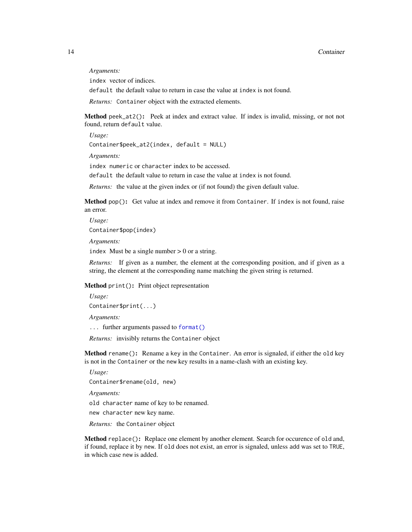*Arguments:*

index vector of indices.

default the default value to return in case the value at index is not found.

*Returns:* Container object with the extracted elements.

<span id="page-13-0"></span>Method peek\_at2(): Peek at index and extract value. If index is invalid, missing, or not not found, return default value.

*Usage:* Container\$peek\_at2(index, default = NULL)

*Arguments:*

index numeric or character index to be accessed.

default the default value to return in case the value at index is not found.

*Returns:* the value at the given index or (if not found) the given default value.

<span id="page-13-1"></span>**Method** pop(): Get value at index and remove it from Container. If index is not found, raise an error.

*Usage:* Container\$pop(index)

*Arguments:*

index Must be a single number  $> 0$  or a string.

*Returns:* If given as a number, the element at the corresponding position, and if given as a string, the element at the corresponding name matching the given string is returned.

<span id="page-13-2"></span>Method print(): Print object representation

*Usage:* Container\$print(...)

*Arguments:*

... further arguments passed to [format\(\)](#page-0-0)

*Returns:* invisibly returns the Container object

<span id="page-13-3"></span>Method rename(): Rename a key in the Container. An error is signaled, if either the old key is not in the Container or the new key results in a name-clash with an existing key.

*Usage:*

Container\$rename(old, new)

*Arguments:*

old character name of key to be renamed.

new character new key name.

*Returns:* the Container object

<span id="page-13-4"></span>Method replace(): Replace one element by another element. Search for occurence of old and, if found, replace it by new. If old does not exist, an error is signaled, unless add was set to TRUE, in which case new is added.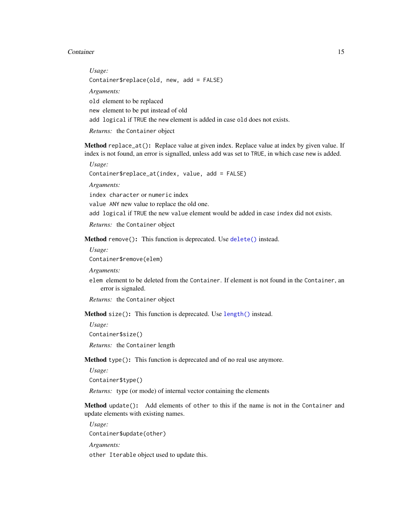*Usage:* Container\$replace(old, new, add = FALSE) *Arguments:* old element to be replaced new element to be put instead of old add logical if TRUE the new element is added in case old does not exists. *Returns:* the Container object

<span id="page-14-0"></span>Method replace\_at(): Replace value at given index. Replace value at index by given value. If index is not found, an error is signalled, unless add was set to TRUE, in which case new is added.

*Usage:* Container\$replace\_at(index, value, add = FALSE)

*Arguments:*

index character or numeric index

value ANY new value to replace the old one.

add logical if TRUE the new value element would be added in case index did not exists.

*Returns:* the Container object

<span id="page-14-1"></span>Method remove(): This function is deprecated. Use [delete\(\)](#page-25-1) instead.

*Usage:*

Container\$remove(elem)

*Arguments:*

elem element to be deleted from the Container. If element is not found in the Container, an error is signaled.

*Returns:* the Container object

<span id="page-14-2"></span>Method size(): This function is deprecated. Use [length\(\)](#page-0-0) instead.

*Usage:*

Container\$size()

*Returns:* the Container length

<span id="page-14-3"></span>Method type(): This function is deprecated and of no real use anymore.

*Usage:*

Container\$type()

*Returns:* type (or mode) of internal vector containing the elements

<span id="page-14-4"></span>Method update(): Add elements of other to this if the name is not in the Container and update elements with existing names.

*Usage:* Container\$update(other)

*Arguments:*

other Iterable object used to update this.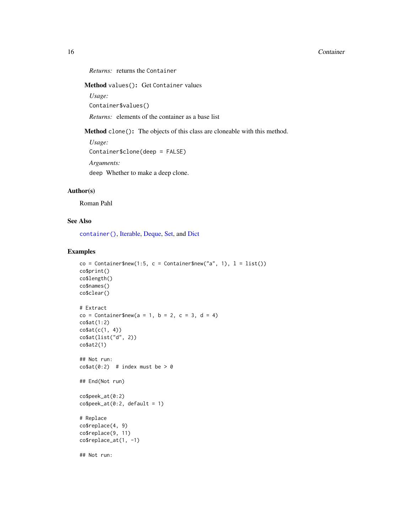```
Returns: returns the Container
```
<span id="page-15-0"></span>Method values(): Get Container values

*Usage:*

Container\$values()

*Returns:* elements of the container as a base list

<span id="page-15-1"></span>Method clone(): The objects of this class are cloneable with this method.

*Usage:* Container\$clone(deep = FALSE) *Arguments:* deep Whether to make a deep clone.

#### Author(s)

Roman Pahl

## See Also

[container\(\)](#page-16-1), [Iterable,](#page-48-1) [Deque,](#page-28-1) [Set,](#page-73-1) and [Dict](#page-32-1)

```
co = Container$new(1:5, c = Container$new("a", 1), l = list())
co$print()
co$length()
co$names()
co$clear()
# Extract
co = Container$new(a = 1, b = 2, c = 3, d = 4)
co$at(1:2)
co$at(c(1, 4))
co$at(list("d", 2))
co$at2(1)
## Not run:
\cosh(\theta:2) # index must be > 0
## End(Not run)
co$peek_at(0:2)
co$peek_at(0:2, default = 1)# Replace
co$replace(4, 9)
co$replace(9, 11)
co$replace_at(1, -1)
## Not run:
```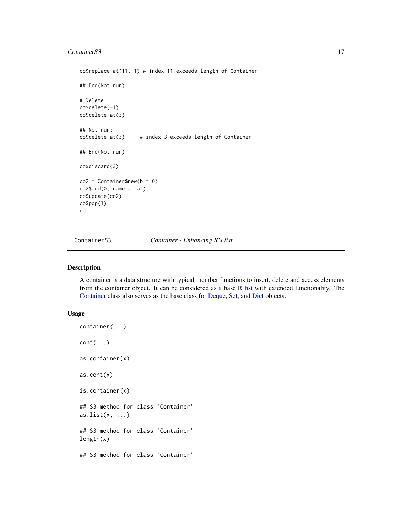#### <span id="page-16-0"></span>ContainerS3 17

```
co$replace_at(11, 1) # index 11 exceeds length of Container
## End(Not run)
# Delete
co$delete(-1)
co$delete_at(3)
## Not run:
co$delete_at(3) # index 3 exceeds length of Container
## End(Not run)
co$discard(3)
co2 = Container$new(b = 0)
co2$add(0, name = "a")co$update(co2)
co$pop(1)
co
```
ContainerS3 **Container - Enhancing R's list** 

## <span id="page-16-1"></span>Description

A container is a data structure with typical member functions to insert, delete and access elements from the container object. It can be considered as a base R [list](#page-0-0) with extended functionality. The [Container](#page-9-1) class also serves as the base class for [Deque,](#page-28-1) [Set,](#page-73-1) and [Dict](#page-32-1) objects.

#### Usage

```
container(...)
cont(...)as.container(x)
as.cont(x)
is.container(x)
## S3 method for class 'Container'
as.list(x, \ldots)## S3 method for class 'Container'
length(x)
## S3 method for class 'Container'
```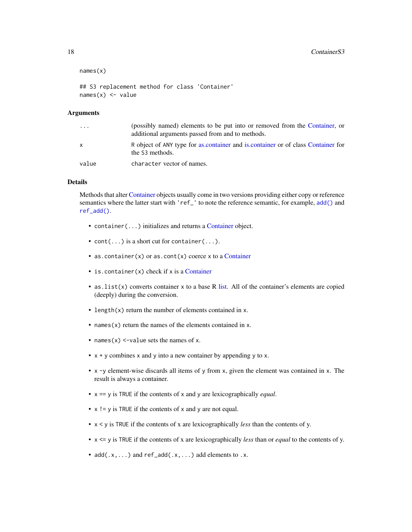```
names(x)
## S3 replacement method for class 'Container'
names(x) <- value
```
#### Arguments

| $\cdot$ | (possibly named) elements to be put into or removed from the Container, or<br>additional arguments passed from and to methods. |
|---------|--------------------------------------------------------------------------------------------------------------------------------|
| X       | R object of ANY type for as container and is container or of class Container for<br>the S3 methods.                            |
| value   | character vector of names.                                                                                                     |

## Details

Methods that alter [Container](#page-9-1) objects usually come in two versions providing either copy or reference semantics where the latter start with 'ref\_' to note the reference semantic, for example, [add\(\)](#page-2-1) and [ref\\_add\(\)](#page-2-2).

- container(...) initializes and returns a [Container](#page-9-1) object.
- $cont(...)$  is a short cut for container(...).
- as.container(x) or as.cont(x) coerce x to a [Container](#page-9-1)
- is. container(x) check if x is a [Container](#page-9-1)
- $\bullet$  as. list(x) converts container x to a base R [list.](#page-0-0) All of the container's elements are copied (deeply) during the conversion.
- length(x) return the number of elements contained in x.
- names $(x)$  return the names of the elements contained in x.
- names $(x)$  <-value sets the names of x.
- $x + y$  combines x and y into a new container by appending y to x.
- x -y element-wise discards all items of y from x, given the element was contained in x. The result is always a container.
- x == y is TRUE if the contents of x and y are lexicographically *equal*.
- $x$  ! = y is TRUE if the contents of x and y are not equal.
- x < y is TRUE if the contents of x are lexicographically *less* than the contents of y.
- x <= y is TRUE if the contents of x are lexicographically *less* than or *equal* to the contents of y.
- $add(x, \ldots)$  and  $ref\_add(x, \ldots)$  add elements to .x.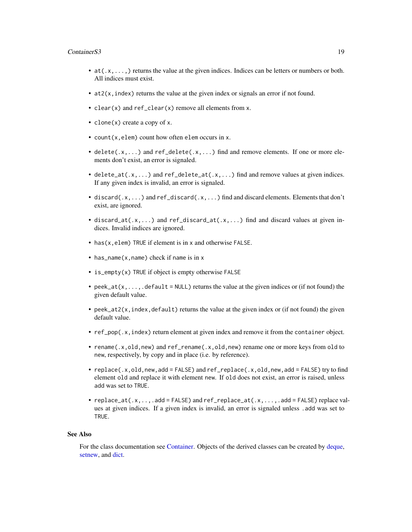#### ContainerS3 19

- at  $(x, \ldots)$  returns the value at the given indices. Indices can be letters or numbers or both. All indices must exist.
- at2(x,index) returns the value at the given index or signals an error if not found.
- clear(x) and ref\_clear(x) remove all elements from x.
- clone(x) create a copy of x.
- count(x,elem) count how often elem occurs in x.
- delete( $.x$ ,...) and ref\_delete( $.x$ ,...) find and remove elements. If one or more elements don't exist, an error is signaled.
- delete\_at(.x,...) and ref\_delete\_at(.x,...) find and remove values at given indices. If any given index is invalid, an error is signaled.
- discard( $x, \ldots$ ) and ref\_discard( $x, \ldots$ ) find and discard elements. Elements that don't exist, are ignored.
- discard\_at(.x,...) and ref\_discard\_at(.x,...) find and discard values at given indices. Invalid indices are ignored.
- has (x, elem) TRUE if element is in x and otherwise FALSE.
- has\_name(x,name) check if name is in x
- is\_empty(x) TRUE if object is empty otherwise FALSE
- peek\_at(x,...,.default = NULL) returns the value at the given indices or (if not found) the given default value.
- peek\_at2( $x$ , index, default) returns the value at the given index or (if not found) the given default value.
- ref\_pop(.x,index) return element at given index and remove it from the container object.
- rename(.x,old,new) and ref\_rename(.x,old,new) rename one or more keys from old to new, respectively, by copy and in place (i.e. by reference).
- replace(.x,old,new,add = FALSE) and ref\_replace(.x,old,new,add = FALSE) try to find element old and replace it with element new. If old does not exist, an error is raised, unless add was set to TRUE.
- replace\_at(.x,..,.add = FALSE) and ref\_replace\_at(.x,...,.add = FALSE) replace values at given indices. If a given index is invalid, an error is signaled unless .add was set to TRUE.

#### See Also

For the class documentation see [Container.](#page-9-1) Objects of the derived classes can be created by [deque,](#page-30-1) [setnew,](#page-75-1) and [dict.](#page-41-1)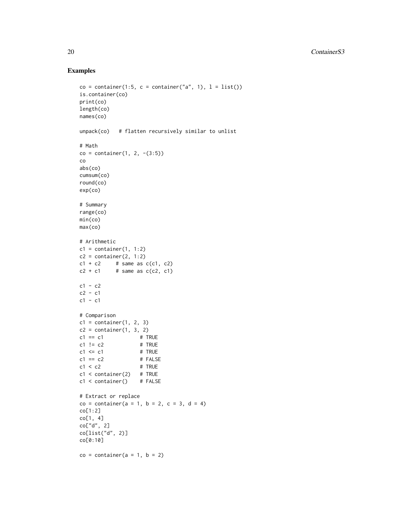```
co = container(1:5, c = container("a", 1), l = list())is.container(co)
print(co)
length(co)
names(co)
unpack(co) # flatten recursively similar to unlist
# Math
co = container(1, 2, -(3:5))co
abs(co)
cumsum(co)
round(co)
exp(co)
# Summary
range(co)
min(co)
max(co)
# Arithmetic
c1 = container(1, 1:2)c2 = \text{container}(2, 1:2)c1 + c2 # same as c(c1, c2)c2 + c1 # same as c(c2, c1)c1 - c2c2 - c1c1 - c1# Comparison
c1 = \text{container}(1, 2, 3)c2 = \text{container}(1, 3, 2)c1 = c1 # TRUE
c1 != c2 # TRUE
c1 \leq c1 # TRUE
c1 = c2 # FALSE
c1 < c2 # TRUE
c1 < container(2) # TRUE
c1 < container() # FALSE
# Extract or replace
co = container(a = 1, b = 2, c = 3, d = 4)co[1:2]
co[1, 4]
co["d", 2]
co[list("d", 2)]
co[0:10]
co = container(a = 1, b = 2)
```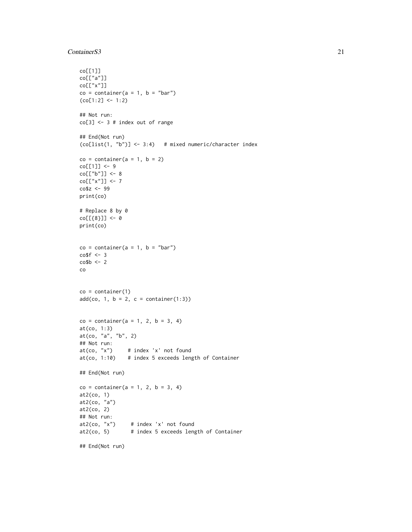#### ContainerS3 21

```
co[[1]]
co[["a"]]
co[["x"]]
co = container(a = 1, b = "bar")(co[1:2] < -1:2)## Not run:
co[3] <- 3 # index out of range
## End(Not run)
(co[list(1, "b")] < -3:4) # mixed numeric/character index
co = container(a = 1, b = 2)co[[1]] <- 9
co[["b"]] <- 8
co[["x"]] <- 7
co$z <- 99
print(co)
# Replace 8 by 0
co[[{8}]] <- 0
print(co)
co = container(a = 1, b = "bar")co$f <-3\cosh <- 2
co
co = container(1)add(co, 1, b = 2, c = container(1:3))co = container(a = 1, 2, b = 3, 4)at(co, 1:3)
at(co, "a", "b", 2)
## Not run:
at(co, 'x") # index 'x' not found
at(co, 1:10) \# index 5 exceeds length of Container
## End(Not run)
co = container(a = 1, 2, b = 3, 4)at2(co, 1)
at2(co, "a")
at2(co, 2)
## Not run:
at2(co, "x") # index 'x' not found
at2(co, 5) # index 5 exceeds length of Container
```
## End(Not run)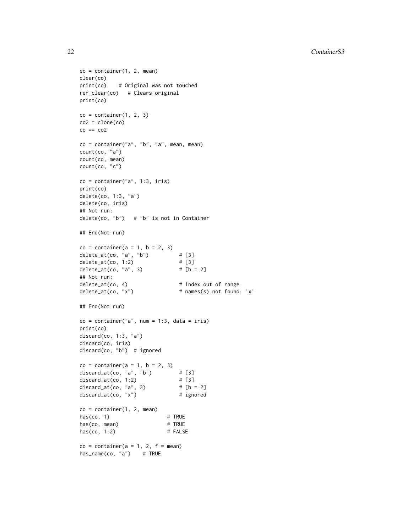```
co = container(1, 2, mean)clear(co)
print(co) # Original was not touched
ref_clear(co) # Clears original
print(co)
co = container(1, 2, 3)co2 = clone(co)co == co2co = container("a", "b", "a", mean, mean)count(co, "a")
count(co, mean)
count(co, "c")
co = container("a", 1:3, iris)print(co)
delete(co, 1:3, "a")
delete(co, iris)
## Not run:
delete(co, "b") # "b" is not in Container
## End(Not run)
co = container(a = 1, b = 2, 3)delete_at(co, "a", "b") # [3]
delete_at(co, 1:2) # [3]
delete_at(co, "a", 3) # [b = 2]## Not run:
delete_at(co, 4) # index out of range
delete_at(co, "x") # names(s) not found: 'x'
## End(Not run)
co = container("a", num = 1:3, data = iris)print(co)
discard(co, 1:3, "a")
discard(co, iris)
discard(co, "b") # ignored
co = container(a = 1, b = 2, 3)discard_at(co, "a", "b") \# [3]<br>discard_at(co, 1:2) \# [3]discard_at(co, 1:2) # [3]<br>discard_at(co, "a", 3) # [b = 2]
discard_at(co, "a", 3)discard_at(co, "x") # ignored
co = container(1, 2, mean)has(co, 1) # TRUE
has(co, mean) # TRUE
has(co, 1:2) # FALSE
co = container(a = 1, 2, f = mean)has_name(co, "a") # TRUE
```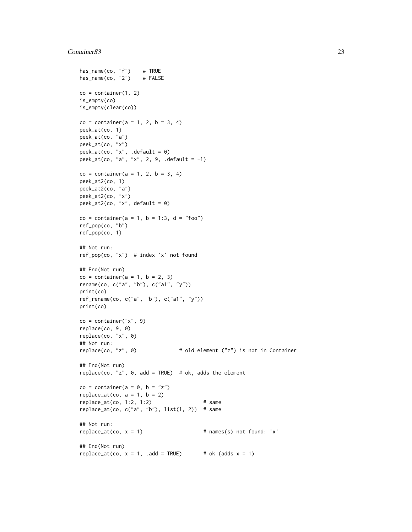#### ContainerS3 23

```
has_name(co, "f") # TRUE
has_name(co, "2") # FALSE
co = container(1, 2)is_empty(co)
is_empty(clear(co))
co = container(a = 1, 2, b = 3, 4)peek_at(co, 1)
peek_at(co, "a")
peek_at(co, "x")
peek_at(co, "x", .default = 0)peek_at(co, "a", "x", 2, 9, .default = -1)
co = container(a = 1, 2, b = 3, 4)peek_at2(co, 1)
peek_at2(co, "a")
peek_at2(co, "x")
peek_at2(co, "x", default = 0)
co = container(a = 1, b = 1:3, d = "foo")ref_pop(co, "b")
ref_pop(co, 1)
## Not run:
ref_pop(co, "x") # index 'x' not found
## End(Not run)
co = container(a = 1, b = 2, 3)rename(co, c("a", "b"), c("a1", "y"))
print(co)
ref_rename(co, c("a", "b"), c("a1", "y"))
print(co)
co = container('x", 9)replace(co, 9, 0)
replace(co, "x", 0)
## Not run:
replace(co, "z", 0) # old element ("z") is not in Container
## End(Not run)
replace(co, "z", 0, add = TRUE) # ok, adds the element
co = container(a = 0, b = "z")replace_at(co, a = 1, b = 2)replace_at(co, 1:2, 1:2) # same
replace_at(co, c("a", "b"), list(1, 2)) # same## Not run:
replace\_at(co, x = 1) # names(s) not found: 'x'
## End(Not run)
replace_at(co, x = 1, .add = TRUE) # ok (adds x = 1)
```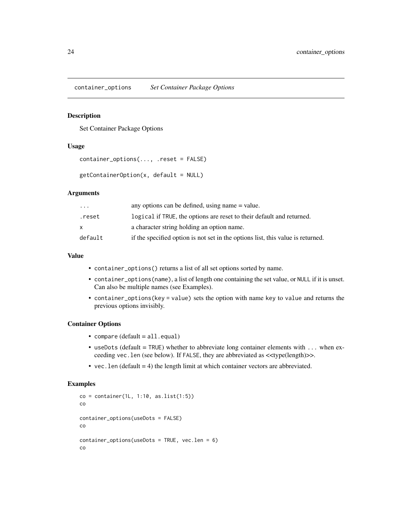<span id="page-23-0"></span>container\_options *Set Container Package Options*

#### Description

Set Container Package Options

#### Usage

```
container_options(..., .reset = FALSE)
```

```
getContainerOption(x, default = NULL)
```
#### Arguments

| $\ddotsc$ | any options can be defined, using name $=$ value.                               |
|-----------|---------------------------------------------------------------------------------|
| .reset    | logical if TRUE, the options are reset to their default and returned.           |
| x.        | a character string holding an option name.                                      |
| default   | if the specified option is not set in the options list, this value is returned. |

## Value

- container\_options() returns a list of all set options sorted by name.
- container\_options(name), a list of length one containing the set value, or NULL if it is unset. Can also be multiple names (see Examples).
- container\_options(key = value) sets the option with name key to value and returns the previous options invisibly.

#### Container Options

- compare (default = all.equal)
- useDots (default = TRUE) whether to abbreviate long container elements with  $\dots$  when exceeding vec.len (see below). If FALSE, they are abbreviated as <<type(length)>>.
- vec. len (default  $= 4$ ) the length limit at which container vectors are abbreviated.

```
co = container(1L, 1:10, as.list(1:5))co
container_options(useDots = FALSE)
co
container_options(useDots = TRUE, vec.len = 6)
co
```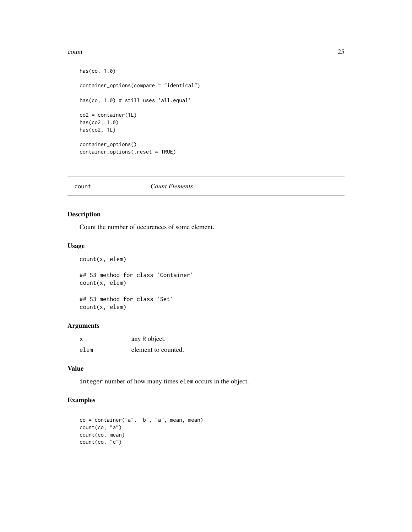#### <span id="page-24-0"></span>count 25

```
has(co, 1.0)
container_options(compare = "identical")
has(co, 1.0) # still uses 'all.equal'
co2 = container(1L)has(co2, 1.0)
has(co2, 1L)
container_options()
container_options(.reset = TRUE)
```
#### count *Count Elements*

## Description

Count the number of occurences of some element.

#### Usage

```
count(x, elem)
```
## S3 method for class 'Container' count(x, elem)

## S3 method for class 'Set' count(x, elem)

## Arguments

| x    | any R object.       |
|------|---------------------|
| elem | element to counted. |

#### Value

integer number of how many times elem occurs in the object.

```
co = container("a", "b", "a", mean, mean)count(co, "a")
count(co, mean)
count(co, "c")
```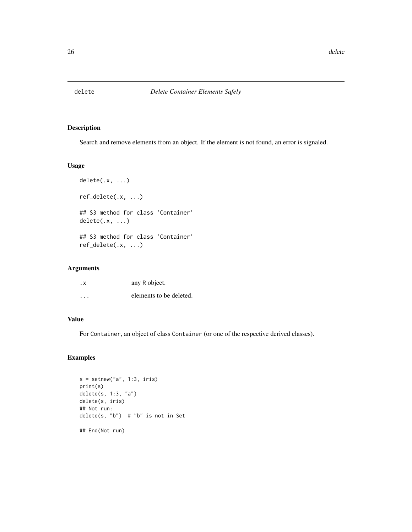<span id="page-25-1"></span><span id="page-25-0"></span>

## Description

Search and remove elements from an object. If the element is not found, an error is signaled.

#### Usage

```
delete(.x, ...)
ref_delete(.x, ...)
## S3 method for class 'Container'
delete(.x, ...)
## S3 method for class 'Container'
ref_delete(.x, ...)
```
## Arguments

| . X     | any R object.           |
|---------|-------------------------|
| $\cdot$ | elements to be deleted. |

## Value

For Container, an object of class Container (or one of the respective derived classes).

```
s = setnew("a", 1:3, iris)print(s)
delete(s, 1:3, "a")
delete(s, iris)
## Not run:
delete(s, "b") # "b" is not in Set
## End(Not run)
```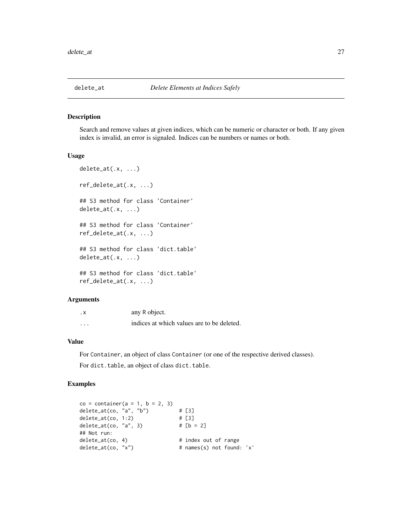<span id="page-26-0"></span>

#### Description

Search and remove values at given indices, which can be numeric or character or both. If any given index is invalid, an error is signaled. Indices can be numbers or names or both.

#### Usage

```
delete_at(.x, ...)
ref_delete_at(.x, ...)
## S3 method for class 'Container'
delete_at(.x, ...)
## S3 method for class 'Container'
ref_delete_at(.x, ...)
## S3 method for class 'dict.table'
delete_at(.x, ...)
## S3 method for class 'dict.table'
ref_delete_at(.x, ...)
```
## Arguments

| . х      | any R object.                              |
|----------|--------------------------------------------|
| $\cdots$ | indices at which values are to be deleted. |

## Value

For Container, an object of class Container (or one of the respective derived classes). For dict.table, an object of class dict.table.

```
co = container(a = 1, b = 2, 3)delete_at(co, "a", "b") \qquad # [3]
delete_at(co, 1:2) # [3]
delete_at(co, "a", 3) # [b = 2]## Not run:
delete_at(co, 4) # index out of range
delete_at(co, "x")  # names(s) not found: 'x'
```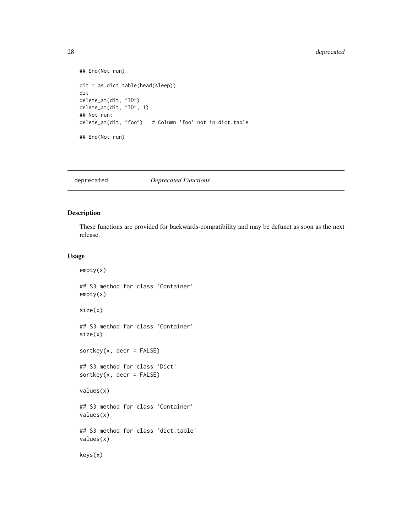## <span id="page-27-0"></span>28 deprecated

```
## End(Not run)
dit = as.dict.table(head(sleep))
dit
delete_at(dit, "ID")
delete_at(dit, "ID", 1)
## Not run:
delete_at(dit, "foo") # Column 'foo' not in dict.table
## End(Not run)
```
deprecated *Deprecated Functions*

#### <span id="page-27-1"></span>Description

These functions are provided for backwards-compatibility and may be defunct as soon as the next release.

#### Usage

```
empty(x)
## S3 method for class 'Container'
empty(x)
size(x)
## S3 method for class 'Container'
size(x)
sortkey(x, decr = FALSE)
## S3 method for class 'Dict'
sortkey(x, decr = FALSE)values(x)
## S3 method for class 'Container'
values(x)
## S3 method for class 'dict.table'
values(x)
keys(x)
```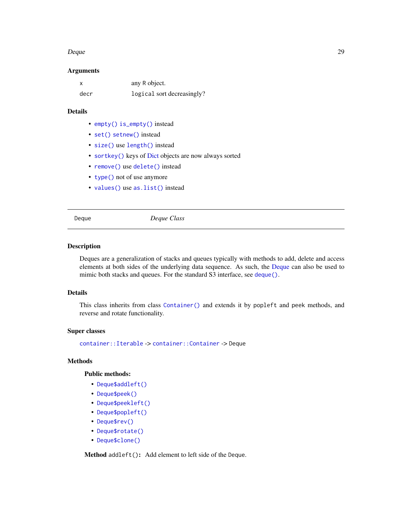#### <span id="page-28-0"></span>Deque 29

#### Arguments

|      | any R object.              |
|------|----------------------------|
| decr | logical sort decreasingly? |

## Details

- [empty\(\)](#page-27-1) [is\\_empty\(\)](#page-47-1) instead
- [set\(\)](#page-0-0) [setnew\(\)](#page-75-1) instead
- [size\(\)](#page-27-1) use [length\(\)](#page-0-0) instead
- [sortkey\(\)](#page-27-1) keys of [Dict](#page-32-1) objects are now always sorted
- [remove\(\)](#page-0-0) use [delete\(\)](#page-25-1) instead
- [type\(\)](#page-0-0) not of use anymore
- [values\(\)](#page-27-1) use [as.list\(\)](#page-0-0) instead

<span id="page-28-1"></span>Deque *Deque Class*

#### Description

Deques are a generalization of stacks and queues typically with methods to add, delete and access elements at both sides of the underlying data sequence. As such, the [Deque](#page-28-1) can also be used to mimic both stacks and queues. For the standard S3 interface, see [deque\(\)](#page-30-1).

#### Details

This class inherits from class [Container\(\)](#page-9-1) and extends it by popleft and peek methods, and reverse and rotate functionality.

## Super classes

[container::Iterable](#page-0-0) -> [container::Container](#page-0-0) -> Deque

## Methods

## Public methods:

- [Deque\\$addleft\(\)](#page-28-2)
- [Deque\\$peek\(\)](#page-29-0)
- [Deque\\$peekleft\(\)](#page-29-1)
- [Deque\\$popleft\(\)](#page-29-2)
- [Deque\\$rev\(\)](#page-29-3)
- [Deque\\$rotate\(\)](#page-29-4)
- [Deque\\$clone\(\)](#page-15-1)

<span id="page-28-2"></span>Method addleft(): Add element to left side of the Deque.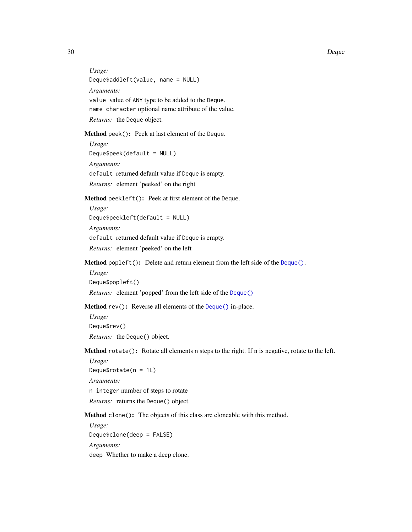30 Deque

*Usage:* Deque\$addleft(value, name = NULL) *Arguments:* value value of ANY type to be added to the Deque. name character optional name attribute of the value. *Returns:* the Deque object.

<span id="page-29-0"></span>Method peek(): Peek at last element of the Deque.

*Usage:* Deque\$peek(default = NULL) *Arguments:* default returned default value if Deque is empty. *Returns:* element 'peeked' on the right

<span id="page-29-1"></span>Method peekleft(): Peek at first element of the Deque.

```
Usage:
Deque$peekleft(default = NULL)
Arguments:
default returned default value if Deque is empty.
Returns: element 'peeked' on the left
```
<span id="page-29-2"></span>Method popleft(): Delete and return element from the left side of the [Deque\(\)](#page-28-1).

*Usage:* Deque\$popleft()

*Returns:* element 'popped' from the left side of the [Deque\(\)](#page-28-1)

<span id="page-29-3"></span>Method rev(): Reverse all elements of the [Deque\(\)](#page-28-1) in-place.

*Usage:* Deque\$rev() *Returns:* the Deque() object.

<span id="page-29-4"></span>Method rotate(): Rotate all elements n steps to the right. If n is negative, rotate to the left.

*Usage:* Deque\$rotate(n = 1L) *Arguments:* n integer number of steps to rotate *Returns:* returns the Deque() object.

Method clone(): The objects of this class are cloneable with this method.

*Usage:* Deque\$clone(deep = FALSE) *Arguments:* deep Whether to make a deep clone.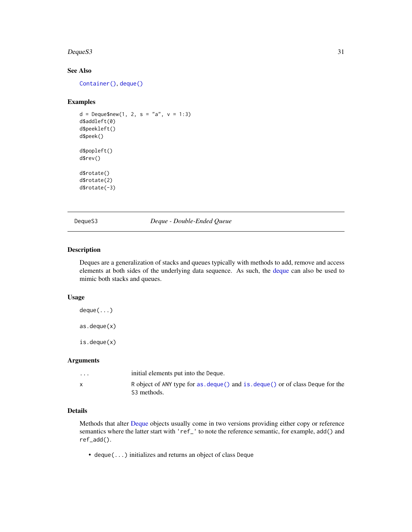#### <span id="page-30-0"></span> $Deques3$  31

## See Also

[Container\(\)](#page-9-1), [deque\(\)](#page-30-1)

## Examples

```
d = Deque$new(1, 2, s = "a", v = 1:3)d$addleft(0)
d$peekleft()
d$peek()
d$popleft()
d$rev()
d$rotate()
d$rotate(2)
d$rotate(-3)
```
DequeS3 *Deque - Double-Ended Queue*

#### <span id="page-30-1"></span>Description

Deques are a generalization of stacks and queues typically with methods to add, remove and access elements at both sides of the underlying data sequence. As such, the [deque](#page-30-1) can also be used to mimic both stacks and queues.

## Usage

deque(...) as.deque(x) is.deque(x)

## Arguments

| $\cdots$ | initial elements put into the Deque.                                                                    |
|----------|---------------------------------------------------------------------------------------------------------|
|          | R object of ANY type for as deque() and is deque() or of class Deque for the<br>S <sub>3</sub> methods. |

## Details

Methods that alter [Deque](#page-28-1) objects usually come in two versions providing either copy or reference semantics where the latter start with 'ref\_' to note the reference semantic, for example, add() and ref\_add().

• deque(...) initializes and returns an object of class Deque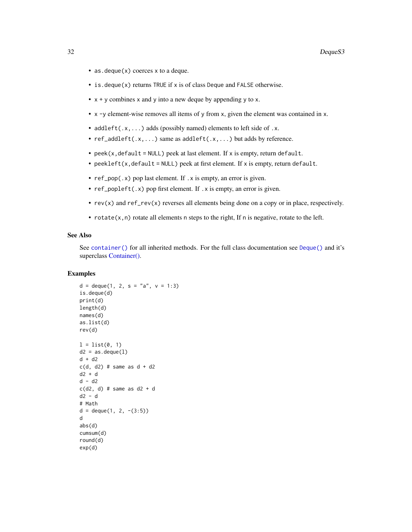- as. deque(x) coerces x to a deque.
- is.deque(x) returns TRUE if x is of class Deque and FALSE otherwise.
- $x + y$  combines x and y into a new deque by appending y to x.
- x -y element-wise removes all items of y from x, given the element was contained in x.
- addleft( $.x$ ,...) adds (possibly named) elements to left side of  $.x$ .
- $ref\_addleft(x,...)$  same as  $addleft(x,...)$  but adds by reference.
- peek( $x$ , default = NULL) peek at last element. If  $x$  is empty, return default.
- peekleft(x,default = NULL) peek at first element. If x is empty, return default.
- ref\_pop(.x) pop last element. If .x is empty, an error is given.
- ref\_popleft(.x) pop first element. If .x is empty, an error is given.
- rev(x) and ref\_rev(x) reverses all elements being done on a copy or in place, respectively.
- rotate $(x, n)$  rotate all elements n steps to the right, If n is negative, rotate to the left.

#### See Also

See [container\(\)](#page-16-1) for all inherited methods. For the full class documentation see [Deque\(\)](#page-28-1) and it's superclass [Container\(\).](#page-16-1)

```
d = \text{deque}(1, 2, s = "a", v = 1:3)is.deque(d)
print(d)
length(d)
names(d)
as.list(d)
rev(d)
l = list(0, 1)d2 = as.deque(1)d + d2
c(d, d2) # same as d + d2d2 + d
d - d2c(d2, d) # same as d2 + dd2 - d
# Math
d = \text{deque}(1, 2, -(3:5))d
abs(d)
cumsum(d)
round(d)
exp(d)
```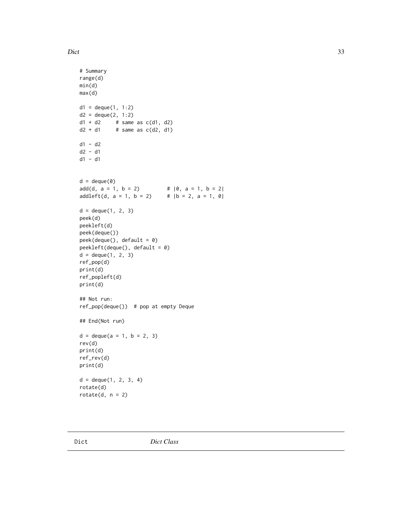#### <span id="page-32-0"></span>Dict 33

```
# Summary
range(d)
min(d)
max(d)
d1 = degue(1, 1:2)d2 = degue(2, 1:2)d1 + d2 # same as c(d1, d2)d2 + d1 # same as c(d2, d1)d1 - d2
d2 - d1
d1 - d1
d = \text{deque}(0)add(d, a = 1, b = 2) \# |0, a = 1, b = 2|addleft(d, a = 1, b = 2) # |b = 2, a = 1, 0|d = \text{deque}(1, 2, 3)peek(d)
peekleft(d)
peek(deque())
peek(deque(), default = 0)
peekleft(deque(), default = 0)
d = degue(1, 2, 3)ref_pop(d)
print(d)
ref_popleft(d)
print(d)
## Not run:
ref_pop(deque()) # pop at empty Deque
## End(Not run)
d = \text{deque}(a = 1, b = 2, 3)rev(d)
print(d)
ref_rev(d)
print(d)
d = degue(1, 2, 3, 4)rotate(d)
rotate(d, n = 2)
```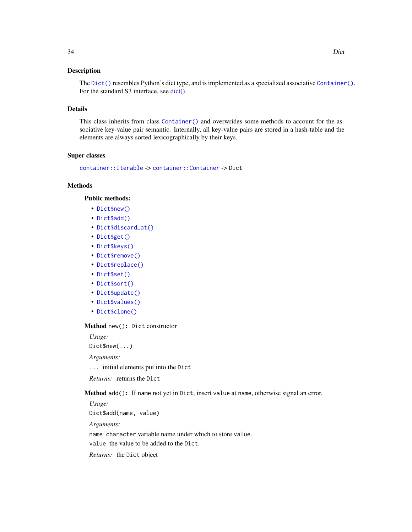#### Description

The [Dict\(\)](#page-32-1) resembles Python's dict type, and is implemented as a specialized associative [Container\(\)](#page-9-1). For the standard S3 interface, see [dict\(\).](#page-32-1)

## Details

This class inherits from class [Container\(\)](#page-9-1) and overwrides some methods to account for the associative key-value pair semantic. Internally, all key-value pairs are stored in a hash-table and the elements are always sorted lexicographically by their keys.

#### Super classes

[container::Iterable](#page-0-0) -> [container::Container](#page-0-0) -> Dict

## Methods

#### Public methods:

- [Dict\\$new\(\)](#page-10-0)
- [Dict\\$add\(\)](#page-10-1)
- [Dict\\$discard\\_at\(\)](#page-11-4)
- [Dict\\$get\(\)](#page-34-0)
- [Dict\\$keys\(\)](#page-34-1)
- [Dict\\$remove\(\)](#page-14-1)
- [Dict\\$replace\(\)](#page-13-4)
- [Dict\\$set\(\)](#page-34-2)
- [Dict\\$sort\(\)](#page-35-0)
- [Dict\\$update\(\)](#page-14-4)
- [Dict\\$values\(\)](#page-15-0)
- [Dict\\$clone\(\)](#page-15-1)

#### Method new(): Dict constructor

*Usage:*

Dict\$new(...)

*Arguments:*

... initial elements put into the Dict

*Returns:* returns the Dict

Method add(): If name not yet in Dict, insert value at name, otherwise signal an error.

*Usage:* Dict\$add(name, value)

*Arguments:*

name character variable name under which to store value.

value the value to be added to the Dict.

*Returns:* the Dict object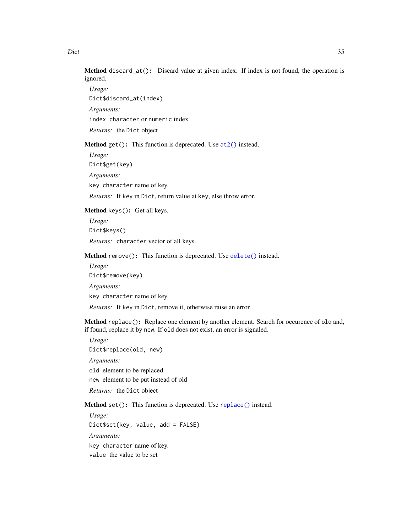Method discard\_at(): Discard value at given index. If index is not found, the operation is ignored.

*Usage:* Dict\$discard\_at(index) *Arguments:* index character or numeric index *Returns:* the Dict object

<span id="page-34-0"></span>Method get(): This function is deprecated. Use at 2() instead.

*Usage:* Dict\$get(key) *Arguments:* key character name of key.

*Returns:* If key in Dict, return value at key, else throw error.

<span id="page-34-1"></span>Method keys(): Get all keys.

*Usage:* Dict\$keys() *Returns:* character vector of all keys.

Method remove(): This function is deprecated. Use [delete\(\)](#page-25-1) instead.

*Usage:* Dict\$remove(key)

*Arguments:*

key character name of key.

*Returns:* If key in Dict, remove it, otherwise raise an error.

Method replace(): Replace one element by another element. Search for occurence of old and, if found, replace it by new. If old does not exist, an error is signaled.

*Usage:* Dict\$replace(old, new) *Arguments:* old element to be replaced

new element to be put instead of old

*Returns:* the Dict object

<span id="page-34-2"></span>Method set(): This function is deprecated. Use [replace\(\)](#page-68-1) instead.

*Usage:* Dict\$set(key, value, add = FALSE) *Arguments:* key character name of key. value the value to be set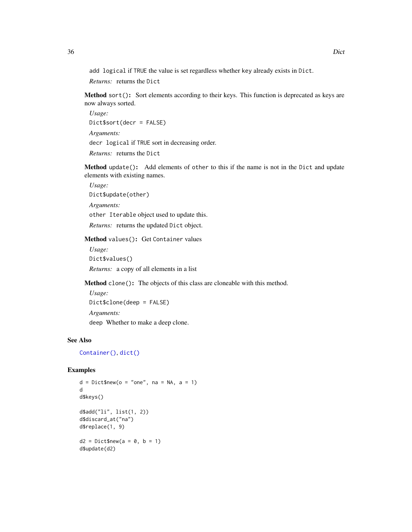add logical if TRUE the value is set regardless whether key already exists in Dict.

*Returns:* returns the Dict

<span id="page-35-0"></span>Method sort(): Sort elements according to their keys. This function is deprecated as keys are now always sorted.

*Usage:* Dict\$sort(decr = FALSE) *Arguments:* decr logical if TRUE sort in decreasing order. *Returns:* returns the Dict

Method update(): Add elements of other to this if the name is not in the Dict and update elements with existing names.

*Usage:* Dict\$update(other)

*Arguments:*

other Iterable object used to update this.

*Returns:* returns the updated Dict object.

Method values(): Get Container values

*Usage:* Dict\$values()

*Returns:* a copy of all elements in a list

Method clone(): The objects of this class are cloneable with this method.

*Usage:* Dict\$clone(deep = FALSE) *Arguments:* deep Whether to make a deep clone.

## See Also

[Container\(\)](#page-9-1), [dict\(\)](#page-41-1)

## Examples

 $d = Dict$new(o = "one", na = NA, a = 1)$ d d\$keys() d\$add("li", list(1, 2)) d\$discard\_at("na") d\$replace(1, 9)  $d2 = Dict$new(a = 0, b = 1)$ d\$update(d2)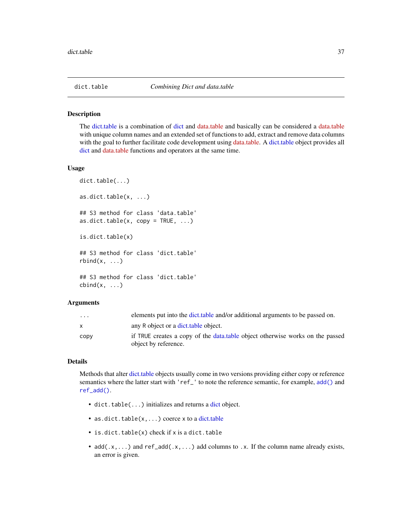<span id="page-36-0"></span>

The [dict.table](#page-36-0) is a combination of [dict](#page-41-0) and [data.table](https://CRAN.R-project.org/package=data.table) and basically can be considered a [data.table](https://CRAN.R-project.org/package=data.table) with unique column names and an extended set of functions to add, extract and remove data columns with the goal to further facilitate code development using [data.table.](https://CRAN.R-project.org/package=data.table) A [dict.table](#page-36-0) object provides all [dict](#page-41-0) and [data.table](https://CRAN.R-project.org/package=data.table) functions and operators at the same time.

#### Usage

```
dict.table(...)
as.dict.table(x, ...)
## S3 method for class 'data.table'
as.dict.table(x, copy = TRUE, ...)is.dict.table(x)
## S3 method for class 'dict.table'
rbind(x, \ldots)## S3 method for class 'dict.table'
cbind(x, \ldots)
```
## Arguments

| $\cdot$ $\cdot$ $\cdot$ | elements put into the dict table and/or additional arguments to be passed on.                          |
|-------------------------|--------------------------------------------------------------------------------------------------------|
| x                       | any R object or a dict table object.                                                                   |
| CODV                    | if TRUE creates a copy of the data, table object otherwise works on the passed<br>object by reference. |

## Details

Methods that alter [dict.table](#page-36-0) objects usually come in two versions providing either copy or reference semantics where the latter start with 'ref\_' to note the reference semantic, for example, [add\(\)](#page-2-0) and [ref\\_add\(\)](#page-2-1).

- [dict](#page-41-0).table(...) initializes and returns a dict object.
- as.[dict.table](#page-36-0) $(x, \ldots)$  coerce x to a dict.table
- is.dict.table(x) check if x is a dict.table
- $add(x, \ldots)$  and  $ref\_add(x, \ldots)$  add columns to .x. If the column name already exists, an error is given.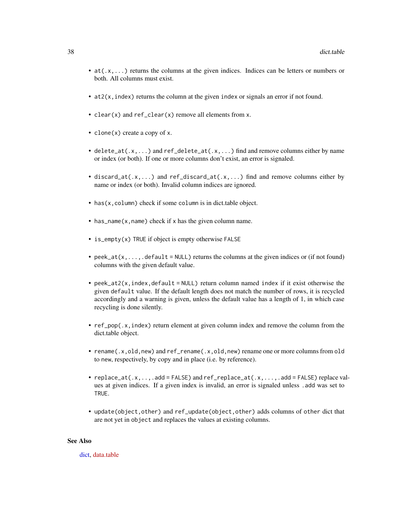- at(.x,...) returns the columns at the given indices. Indices can be letters or numbers or both. All columns must exist.
- $\bullet$  at  $2(x, \text{index})$  returns the column at the given index or signals an error if not found.
- clear(x) and ref\_clear(x) remove all elements from x.
- clone(x) create a copy of x.
- delete\_at(.x,...) and ref\_delete\_at(.x,...) find and remove columns either by name or index (or both). If one or more columns don't exist, an error is signaled.
- discard\_at(.x,...) and ref\_discard\_at(.x,...) find and remove columns either by name or index (or both). Invalid column indices are ignored.
- has(x, column) check if some column is in dict.table object.
- has\_name(x,name) check if x has the given column name.
- is\_empty(x) TRUE if object is empty otherwise FALSE
- peek\_at( $x, \ldots$ , default = NULL) returns the columns at the given indices or (if not found) columns with the given default value.
- peek\_at2(x, index, default = NULL) return column named index if it exist otherwise the given default value. If the default length does not match the number of rows, it is recycled accordingly and a warning is given, unless the default value has a length of 1, in which case recycling is done silently.
- ref\_pop(.x,index) return element at given column index and remove the column from the dict.table object.
- rename(.x,old,new) and ref\_rename(.x,old,new) rename one or more columns from old to new, respectively, by copy and in place (i.e. by reference).
- replace\_at(.x,..,.add = FALSE) and ref\_replace\_at(.x,...,.add = FALSE) replace values at given indices. If a given index is invalid, an error is signaled unless .add was set to TRUE.
- update(object,other) and ref\_update(object,other) adds columns of other dict that are not yet in object and replaces the values at existing columns.

#### See Also

[dict,](#page-41-0) [data.table](https://CRAN.R-project.org/package=data.table)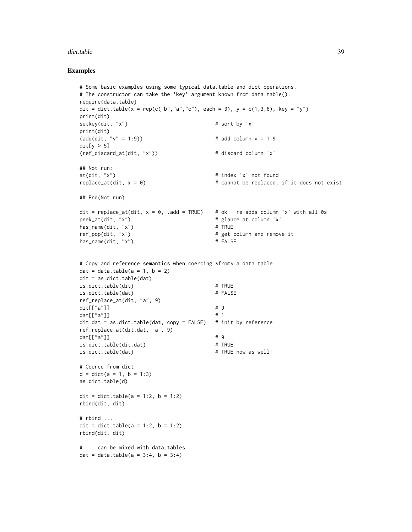#### dict.table 39

```
# Some basic examples using some typical data.table and dict operations.
# The constructor can take the 'key' argument known from data.table():
require(data.table)
dit = dict.table(x = rep(c("b","a","c"), each = 3), y = c(1,3,6), key = "y")
print(dit)
setkey(dit, "x") \qquad \qquad \qquad \qquad # sort by 'x'
print(dit)
(\text{add}(dit, "v" = 1:9)) # add column v = 1:9dit[y > 5](ref_discard_at(dit, "x")) # discard column 'x'
## Not run:
at(dit, "x") # index 'x' not found
replace_at(dit, x = 0) # cannot be replaced, if it does not exist
## End(Not run)
dit = replace_at(dit, x = 0, .add = TRUE) # ok - re-adds column 'x' with all 0s
peek_at(dit, "x") # glance at column 'x'
has\_name(dit, "x") # TRUE
ref_pop(dit, "x") \qquad # get column and remove it
has_name(dit, "x") # FALSE
# Copy and reference semantics when coercing *from* a data.table
dat = data.table(a = 1, b = 2)
dit = as.dict.table(dat)
is.dict.table(dit) # TRUE
is.dict.table(dat) # FALSE
ref_replace_at(dit, "a", 9)
\text{dit}[["a"]] \qquad \qquad \qquad \text{# } 9dat[["a"]] \qquad \qquad \qquad \qquad \qquad \qquad \qquad \qquad \qquad \qquad \qquad \qquad \qquad \qquad \qquad \qquad 1
dit.dat = as.dict.table(data, copy = FALSE) # init by reference
ref_replace_at(dit.dat, "a", 9)
dat[["a"]] \qquad \qquad \qquad \qquad \qquad \qquad \qquad \qquad \qquad \qquad \qquad \qquad \qquad \qquad \qquad \qquad \qquad \qquad \qquad \qquad \qquad \qquad \qquad \qquad \qquad \qquad \qquad \qquad \qquad \qquad \qquad \qquad \qquad \qquad \qquad \qquad \qquad \qquad \qquad \qquad \qquad \qquad \qquad \qquad \qquad \qquad \qquad \qquad \is.dict.table(dit.dat) # TRUE
is.dict.table(dat) \qquad # TRUE now as well!
# Coerce from dict
d = dict(a = 1, b = 1:3)as.dict.table(d)
dit = dict.table(a = 1:2, b = 1:2)
rbind(dit, dit)
# rbind ...
dit = dict.table(a = 1:2, b = 1:2)
rbind(dit, dit)
# ... can be mixed with data.tables
dat = data.table(a = 3:4, b = 3:4)
```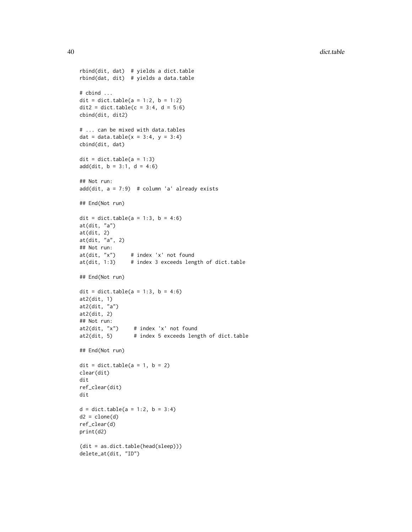```
rbind(dit, dat) # yields a dict.table
rbind(dat, dit) # yields a data.table
# cbind ...
dit = dict.table(a = 1:2, b = 1:2)
\text{dit2} = \text{dict.table}(c = 3:4, d = 5:6)cbind(dit, dit2)
# ... can be mixed with data.tables
dat = data.table(x = 3:4, y = 3:4)
cbind(dit, dat)
\text{dit} = \text{dict}.\text{table(a = 1:3)}add(dit, b = 3:1, d = 4:6)## Not run:
add(dit, a = 7:9) # column 'a' already exists
## End(Not run)
dit = dict.table(a = 1:3, b = 4:6)
at(dit, "a")
at(dit, 2)
at(dit, "a", 2)
## Not run:
at(dit, "x") # index 'x' not found
at(dit, 1:3) # index 3 exceeds length of dict.table
## End(Not run)
dit = dict.table(a = 1:3, b = 4:6)
at2(dit, 1)
at2(dit, "a")
at2(dit, 2)
## Not run:
at2(dit, "x") # index 'x' not found
at2(dit, 5) # index 5 exceeds length of dict.table
## End(Not run)
\text{dit} = \text{dict.table}(a = 1, b = 2)clear(dit)
dit
ref_clear(dit)
dit
d = dict.table(a = 1:2, b = 3:4)d2 = clone(d)ref_clear(d)
print(d2)
(dit = as.dict.table(head(sleep)))
delete_at(dit, "ID")
```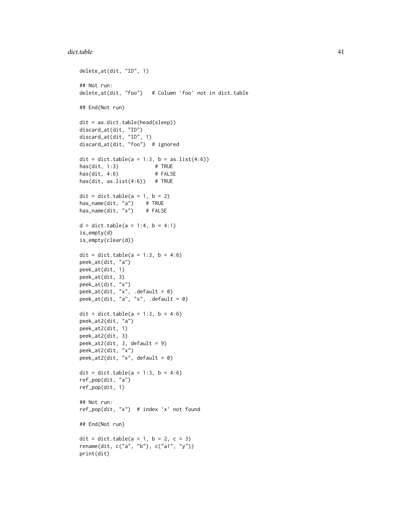#### dict.table 41

```
delete_at(dit, "ID", 1)
## Not run:
delete_at(dit, "foo") # Column 'foo' not in dict.table
## End(Not run)
dit = as.dict.table(head(sleep))
discard_at(dit, "ID")
discard_at(dit, "ID", 1)
discard_at(dit, "foo") # ignored
dit = dict.table(a = 1:3, b = as.list(4:6))
has(dit, 1:3) # TRUE
has(dit, 4:6) # FALSE
has(dit, as.list(4:6)) # TRUE
\text{dit} = \text{dict.table}(a = 1, b = 2)has_name(dit, "a") # TRUE
has_name(dit, "x") # FALSE
d = dict.table(a = 1:4, b = 4:1)is_empty(d)
is_empty(clear(d))
dit = dict.table(a = 1:3, b = 4:6)
peek_at(dit, "a")
peek_at(dit, 1)
peek_at(dit, 3)
peek_at(dit, "x")
peek_at(dit, "x", .default = 0)
peek_at(dit, "a", "x", .default = 0)
dit = dict.table(a = 1:3, b = 4:6)
peek_at2(dit, "a")
peek_at2(dit, 1)
peek_at2(dit, 3)
peek_at2(dit, 3, default = 9)
peek_at2(dit, "x")
peek_at2(dit, "x", default = 0)
dit = dict.table(a = 1:3, b = 4:6)
ref_pop(dit, "a")
ref_pop(dit, 1)
## Not run:
ref_pop(dit, "x") # index 'x' not found
## End(Not run)
dit = dict.table(a = 1, b = 2, c = 3)
rename(dit, c("a", "b"), c("a1", "y"))
print(dit)
```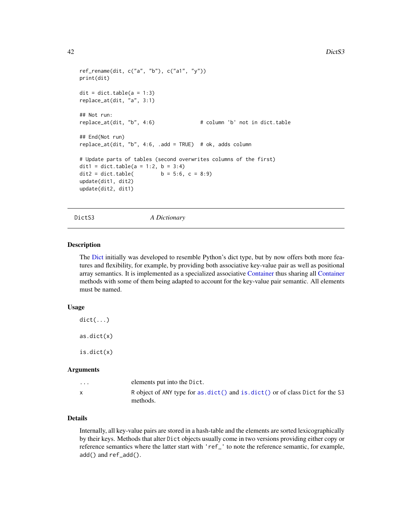```
ref_rename(dit, c("a", "b"), c("a1", "y"))
print(dit)
\text{dit} = \text{dict}.\text{table(a = 1:3)}replace_at(dit, "a", 3:1)
## Not run:
replace_at(dit, "b", 4:6) # column 'b' not in dict.table
## End(Not run)
replace_at(dit, "b", 4:6, .add = TRUE) # ok, adds column
# Update parts of tables (second overwrites columns of the first)
dit1 = dict.table(a = 1:2, b = 3:4)
dit2 = dict.table( b = 5:6, c = 8:9)
update(dit1, dit2)
update(dit2, dit1)
```
DictS3 *A Dictionary*

#### <span id="page-41-0"></span>**Description**

The [Dict](#page-32-0) initially was developed to resemble Python's dict type, but by now offers both more features and flexibility, for example, by providing both associative key-value pair as well as positional array semantics. It is implemented as a specialized associative [Container](#page-9-0) thus sharing all [Container](#page-9-0) methods with some of them being adapted to account for the key-value pair semantic. All elements must be named.

### Usage

 $dict(...)$ as.dict(x) is.dict(x)

#### Arguments

| $\cdots$ | elements put into the Dict.                                                                |
|----------|--------------------------------------------------------------------------------------------|
|          | R object of ANY type for as. dict() and is. dict() or of class Dict for the S3<br>methods. |

# Details

Internally, all key-value pairs are stored in a hash-table and the elements are sorted lexicographically by their keys. Methods that alter Dict objects usually come in two versions providing either copy or reference semantics where the latter start with 'ref\_' to note the reference semantic, for example, add() and ref\_add().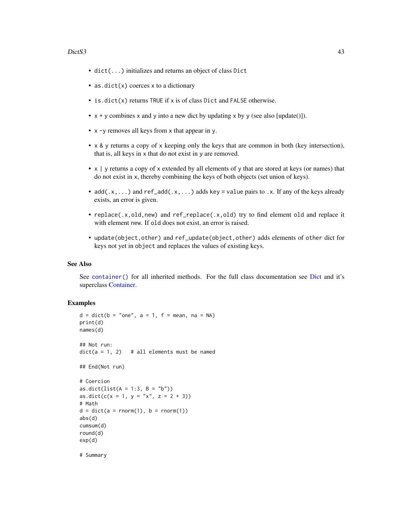### $DictS3$  43

- dict(...) initializes and returns an object of class Dict
- as.dict(x) coerces x to a dictionary
- is.dict(x) returns TRUE if x is of class Dict and FALSE otherwise.
- $x + y$  combines x and y into a new dict by updating x by y (see also [update()]).
- x -y removes all keys from x that appear in y.
- x & y returns a copy of x keeping only the keys that are common in both (key intersection), that is, all keys in x that do not exist in y are removed.
- x | y returns a copy of x extended by all elements of y that are stored at keys (or names) that do not exist in x, thereby combining the keys of both objects (set union of keys).
- $ad(x, \ldots)$  and ref\_add( $x, \ldots$ ) adds key = value pairs to  $\ldots$ . If any of the keys already exists, an error is given.
- replace(.x,old,new) and ref\_replace(.x,old) try to find element old and replace it with element new. If old does not exist, an error is raised.
- update(object,other) and ref\_update(object,other) adds elements of other dict for keys not yet in object and replaces the values of existing keys.

#### See Also

See [container\(\)](#page-16-0) for all inherited methods. For the full class documentation see [Dict](#page-32-0) and it's superclass [Container.](#page-9-0)

## Examples

```
d = dict(b = "one", a = 1, f = mean, na = NA)print(d)
names(d)
## Not run:
dict(a = 1, 2) # all elements must be named
## End(Not run)
# Coercion
as.dict(list(A = 1:3, B = "b"))
as.dict(c(x = 1, y = "x", z = 2 + 3))
# Math
d = dict(a = rnorm(1), b = rnorm(1))abs(d)
cumsum(d)
round(d)
exp(d)
```
# Summary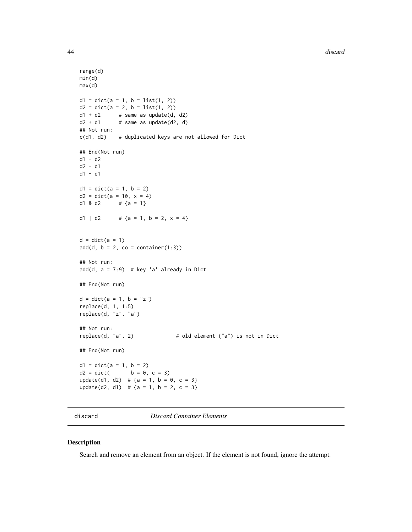44 discard and the contract of the contract of the contract of the contract of the contract of the contract of the contract of the contract of the contract of the contract of the contract of the contract of the contract of

```
range(d)
min(d)
max(d)
d1 = dict(a = 1, b = list(1, 2))d2 = dict(a = 2, b = list(1, 2))d1 + d2 # same as update(d, d2)
d2 + d1 # same as update(d2, d)
## Not run:
c(d1, d2) # duplicated keys are not allowed for Dict
## End(Not run)
d1 - d2
d2 - d1
d1 - d1
d1 = dict(a = 1, b = 2)d2 = dict(a = 10, x = 4)d1 & d2 \# {a = 1}
d1 | d2 # {a = 1, b = 2, x = 4}
d = dict(a = 1)add(d, b = 2, co = container(1:3))## Not run:
add(d, a = 7:9) # key 'a' already in Dict
## End(Not run)
d = dict(a = 1, b = "z")replace(d, 1, 1:5)
replace(d, "z", "a")
## Not run:
                              # old element ("a") is not in Dict
## End(Not run)
d1 = dict(a = 1, b = 2)d2 = dict( b = 0, c = 3)update(d1, d2) # {a = 1, b = 0, c = 3}
update(d2, d1) # {a = 1, b = 2, c = 3}
```
discard *Discard Container Elements*

## Description

Search and remove an element from an object. If the element is not found, ignore the attempt.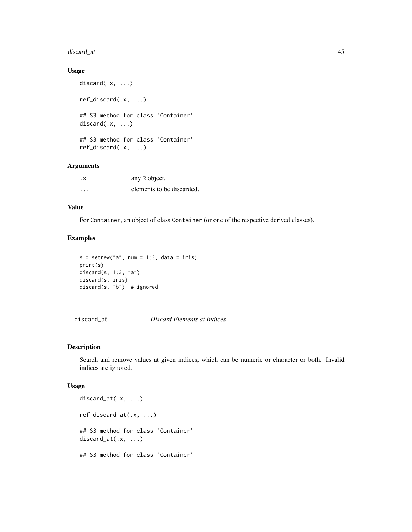# discard\_at 45

## Usage

```
discard(.x, ...)
ref_discard(.x, ...)
## S3 method for class 'Container'
discard(x, \ldots)## S3 method for class 'Container'
ref_discard(.x, ...)
```
# Arguments

| . х      | any R object.             |
|----------|---------------------------|
| $\cdots$ | elements to be discarded. |

# Value

For Container, an object of class Container (or one of the respective derived classes).

# Examples

```
s = setnew("a", num = 1:3, data = iris)print(s)
discard(s, 1:3, "a")
discard(s, iris)
discard(s, "b") # ignored
```
discard\_at *Discard Elements at Indices*

## Description

Search and remove values at given indices, which can be numeric or character or both. Invalid indices are ignored.

```
discard_at(.x, ...)
ref_discard_at(.x, ...)
## S3 method for class 'Container'
discard_at(.x, ...)
## S3 method for class 'Container'
```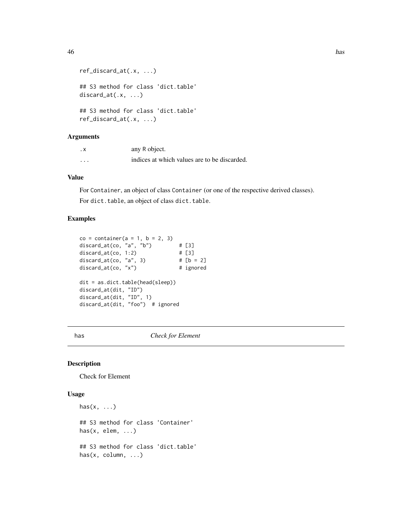```
ref_discard_at(.x, ...)
## S3 method for class 'dict.table'
discard_at(.x, ...)
## S3 method for class 'dict.table'
ref_discard_at(.x, ...)
```
## Arguments

| . х | any R object.                                |
|-----|----------------------------------------------|
| .   | indices at which values are to be discarded. |

## Value

For Container, an object of class Container (or one of the respective derived classes). For dict.table, an object of class dict.table.

# Examples

```
co = container(a = 1, b = 2, 3)discard_at(co, "a", "b") # [3]discard_at(co, 1:2) # [3]
discard_at(co, "a", 3) # [b = 2]discard_at(co, "x") # ignored
dit = as.dict.table(head(sleep))
discard_at(dit, "ID")
discard_at(dit, "ID", 1)
discard_at(dit, "foo") # ignored
```
<span id="page-45-0"></span>has *Check for Element*

#### Description

Check for Element

```
has(x, \ldots)## S3 method for class 'Container'
has(x, elem, \ldots)## S3 method for class 'dict.table'
has(x, column, ...)
```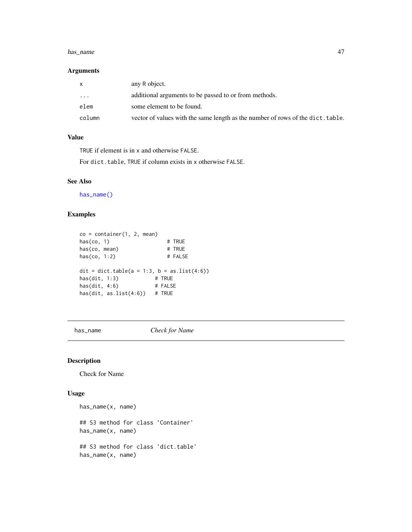#### has\_name 47

## Arguments

| X        | any R object.                                                                   |
|----------|---------------------------------------------------------------------------------|
| $\cdots$ | additional arguments to be passed to or from methods.                           |
| elem     | some element to be found.                                                       |
| column   | vector of values with the same length as the number of rows of the dict. table. |

# Value

TRUE if element is in x and otherwise FALSE.

For dict.table, TRUE if column exists in x otherwise FALSE.

## See Also

[has\\_name\(\)](#page-46-0)

# Examples

```
co = container(1, 2, mean)has(co, 1) \qquad # TRUE<br>has(co, mean) \qquad # TRUE<br>has(co, 1,2)
has(co, mean)has(co, 1:2) # FALSE
dit = dict.table(a = 1:3, b = as.list(4:6))
has(dit, 1:3) # TRUE
has(dit, 4:6) # FALSE
has(dit, as.list(4:6)) # TRUE
```
<span id="page-46-0"></span>has\_name *Check for Name*

# Description

Check for Name

```
has_name(x, name)
## S3 method for class 'Container'
has_name(x, name)
## S3 method for class 'dict.table'
has_name(x, name)
```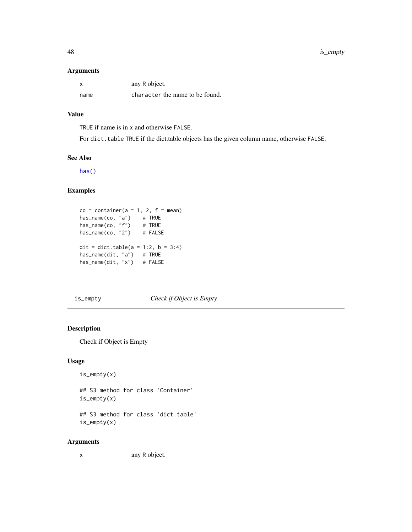48 is\_empty

## Arguments

|      | any R object.                   |
|------|---------------------------------|
| name | character the name to be found. |

# Value

TRUE if name is in x and otherwise FALSE.

For dict.table TRUE if the dict.table objects has the given column name, otherwise FALSE.

### See Also

[has\(\)](#page-45-0)

# Examples

```
co = container(a = 1, 2, f = mean)has_name(co, "a") # TRUE
has_name(co, "f") # TRUE
has_name(co, "2") # FALSE
dit = dict.table(a = 1:2, b = 3:4)
has_name(dit, "a") # TRUE
has_name(dit, "x") # FALSE
```
is\_empty *Check if Object is Empty*

# **Description**

Check if Object is Empty

## Usage

is\_empty(x)

## S3 method for class 'Container' is\_empty(x)

## S3 method for class 'dict.table' is\_empty(x)

## Arguments

x any R object.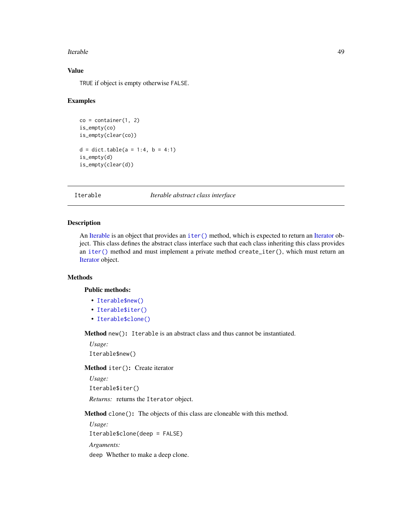#### **Iterable** 49

# Value

TRUE if object is empty otherwise FALSE.

## Examples

```
co = container(1, 2)is_empty(co)
is_empty(clear(co))
d = dict.table(a = 1:4, b = 4:1)is_empty(d)
is_empty(clear(d))
```
<span id="page-48-0"></span>Iterable *Iterable abstract class interface*

# Description

An [Iterable](#page-48-0) is an object that provides an [iter\(\)](#page-52-0) method, which is expected to return an [Iterator](#page-49-0) object. This class defines the abstract class interface such that each class inheriting this class provides an [iter\(\)](#page-52-0) method and must implement a private method create\_iter(), which must return an [Iterator](#page-49-0) object.

# Methods

Public methods:

- [Iterable\\$new\(\)](#page-10-0)
- [Iterable\\$iter\(\)](#page-48-1)
- [Iterable\\$clone\(\)](#page-15-0)

Method new(): Iterable is an abstract class and thus cannot be instantiated.

*Usage:* Iterable\$new()

<span id="page-48-1"></span>Method iter(): Create iterator

*Usage:*

Iterable\$iter()

*Returns:* returns the Iterator object.

Method clone(): The objects of this class are cloneable with this method.

*Usage:* Iterable\$clone(deep = FALSE) *Arguments:*

deep Whether to make a deep clone.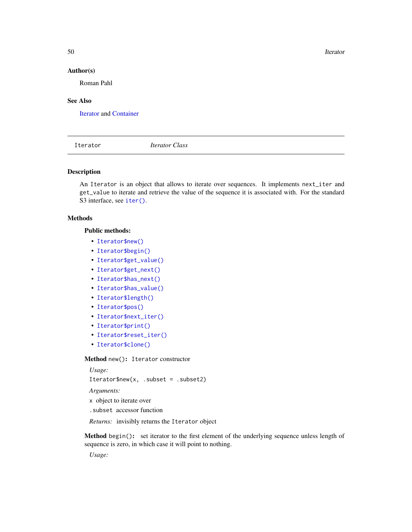50 Iterator New York 1989, 1999, 1999, 1999, 1999, 1999, 1999, 1999, 1999, 1999, 1999, 1999, 1999, 1999, 1999, 1999, 1999, 1999, 1999, 1999, 1999, 1999, 1999, 1999, 1999, 1999, 1999, 1999, 1999, 1999, 1999, 1999, 1999, 199

## Author(s)

Roman Pahl

## See Also

[Iterator](#page-49-0) and [Container](#page-9-0)

<span id="page-49-0"></span>Iterator *Iterator Class*

## Description

An Iterator is an object that allows to iterate over sequences. It implements next\_iter and get\_value to iterate and retrieve the value of the sequence it is associated with. For the standard S3 interface, see [iter\(\)](#page-52-0).

## Methods

#### Public methods:

- [Iterator\\$new\(\)](#page-10-0)
- [Iterator\\$begin\(\)](#page-49-1)
- [Iterator\\$get\\_value\(\)](#page-50-0)
- [Iterator\\$get\\_next\(\)](#page-50-1)
- [Iterator\\$has\\_next\(\)](#page-50-2)
- [Iterator\\$has\\_value\(\)](#page-50-3)
- [Iterator\\$length\(\)](#page-12-0)
- [Iterator\\$pos\(\)](#page-50-4)
- [Iterator\\$next\\_iter\(\)](#page-50-5)
- [Iterator\\$print\(\)](#page-13-0)
- [Iterator\\$reset\\_iter\(\)](#page-50-6)
- [Iterator\\$clone\(\)](#page-15-0)

#### Method new(): Iterator constructor

```
Usage:
Iterator$new(x, .subset = .subset2)
Arguments:
```
- x object to iterate over
- .subset accessor function

*Returns:* invisibly returns the Iterator object

<span id="page-49-1"></span>Method begin(): set iterator to the first element of the underlying sequence unless length of sequence is zero, in which case it will point to nothing.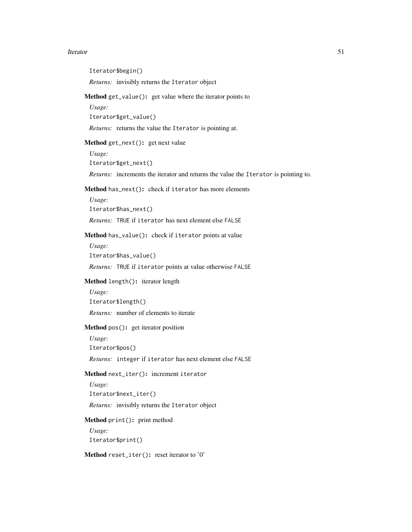<span id="page-50-6"></span><span id="page-50-5"></span><span id="page-50-4"></span><span id="page-50-3"></span><span id="page-50-2"></span><span id="page-50-1"></span><span id="page-50-0"></span>Iterator 51 Iterator\$begin() *Returns:* invisibly returns the Iterator object Method get\_value(): get value where the iterator points to *Usage:* Iterator\$get\_value() *Returns:* returns the value the Iterator is pointing at. Method get\_next(): get next value *Usage:* Iterator\$get\_next() *Returns:* increments the iterator and returns the value the Iterator is pointing to. Method has\_next(): check if iterator has more elements *Usage:* Iterator\$has\_next() *Returns:* TRUE if iterator has next element else FALSE Method has\_value(): check if iterator points at value *Usage:* Iterator\$has\_value() *Returns:* TRUE if iterator points at value otherwise FALSE Method length(): iterator length *Usage:* Iterator\$length() *Returns:* number of elements to iterate Method pos(): get iterator position *Usage:* Iterator\$pos() *Returns:* integer if iterator has next element else FALSE Method next\_iter(): increment iterator *Usage:* Iterator\$next\_iter() *Returns:* invisibly returns the Iterator object Method print(): print method *Usage:* Iterator\$print() Method reset\_iter(): reset iterator to '0'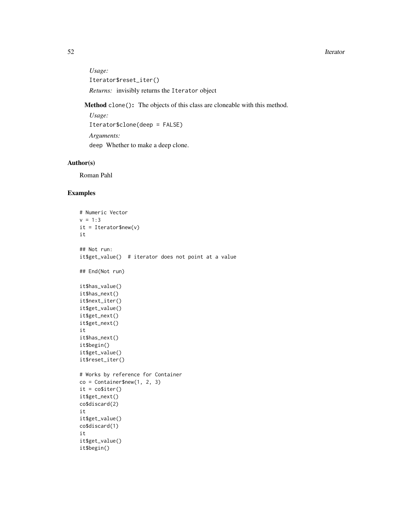#### 52 Iterator New York 1989, 1999, 1999, 1999, 1999, 1999, 1999, 1999, 1999, 1999, 1999, 1999, 1999, 1999, 1999, 1999, 1999, 1999, 1999, 1999, 1999, 1999, 1999, 1999, 1999, 1999, 1999, 1999, 1999, 1999, 1999, 1999, 1999, 199

*Usage:* Iterator\$reset\_iter() *Returns:* invisibly returns the Iterator object

Method clone(): The objects of this class are cloneable with this method.

*Usage:* Iterator\$clone(deep = FALSE) *Arguments:* deep Whether to make a deep clone.

# Author(s)

Roman Pahl

```
# Numeric Vector
v = 1:3it = Iterator$new(v)
it
## Not run:
it$get_value() # iterator does not point at a value
## End(Not run)
it$has_value()
it$has_next()
it$next_iter()
it$get_value()
it$get_next()
it$get_next()
it
it$has_next()
it$begin()
it$get_value()
it$reset_iter()
# Works by reference for Container
co = Container$new(1, 2, 3)
it = \text{co}\$iter()it$get_next()
co$discard(2)
it
it$get_value()
co$discard(1)
it
it$get_value()
it$begin()
```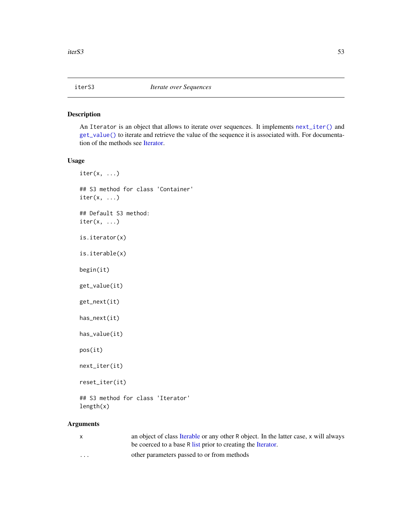<span id="page-52-0"></span>

An Iterator is an object that allows to iterate over sequences. It implements [next\\_iter\(\)](#page-52-0) and [get\\_value\(\)](#page-52-0) to iterate and retrieve the value of the sequence it is associated with. For documentation of the methods see [Iterator.](#page-49-0)

## Usage

 $iter(x, \ldots)$ ## S3 method for class 'Container' iter(x, ...) ## Default S3 method:  $iter(x, \ldots)$ is.iterator(x) is.iterable(x) begin(it) get\_value(it) get\_next(it) has\_next(it) has\_value(it) pos(it) next\_iter(it) reset\_iter(it) ## S3 method for class 'Iterator' length(x) Arguments

| $\mathbf{x}$ | an object of class Iterable or any other R object. In the latter case, x will always<br>be coerced to a base R list prior to creating the Iterator. |
|--------------|-----------------------------------------------------------------------------------------------------------------------------------------------------|
| $\cdot$      | other parameters passed to or from methods                                                                                                          |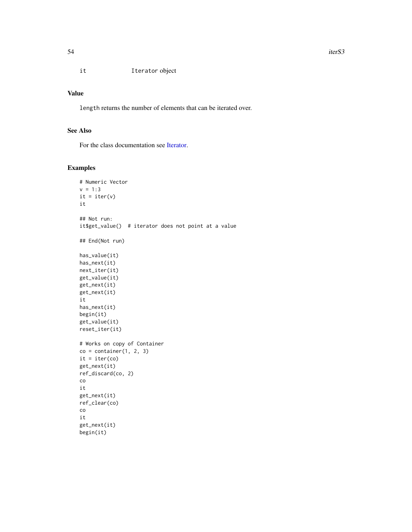it Iterator object

## Value

length returns the number of elements that can be iterated over.

# See Also

For the class documentation see [Iterator.](#page-49-0)

```
# Numeric Vector
v = 1:3it = iter(v)it
## Not run:
it$get_value() # iterator does not point at a value
## End(Not run)
has_value(it)
has_next(it)
next_iter(it)
get_value(it)
get_next(it)
get_next(it)
it
has_next(it)
begin(it)
get_value(it)
reset_iter(it)
# Works on copy of Container
co = container(1, 2, 3)it = iter(co)
get_next(it)
ref_discard(co, 2)
co
it
get_next(it)
ref_clear(co)
co
it
get_next(it)
begin(it)
```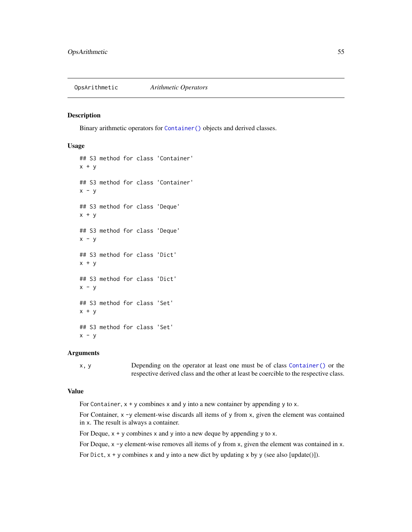Binary arithmetic operators for [Container\(\)](#page-9-0) objects and derived classes.

#### Usage

```
## S3 method for class 'Container'
x + y## S3 method for class 'Container'
x - y## S3 method for class 'Deque'
x + y## S3 method for class 'Deque'
x - y## S3 method for class 'Dict'
x + y## S3 method for class 'Dict'
x - y## S3 method for class 'Set'
x + y## S3 method for class 'Set'
x - y
```
#### Arguments

x, y Depending on the operator at least one must be of class [Container\(\)](#page-9-0) or the respective derived class and the other at least be coercible to the respective class.

#### Value

For Container,  $x + y$  combines x and y into a new container by appending y to x.

For Container,  $x -y$  element-wise discards all items of y from x, given the element was contained in x. The result is always a container.

For Deque,  $x + y$  combines x and y into a new deque by appending y to x.

For Deque,  $x - y$  element-wise removes all items of y from x, given the element was contained in x.

For Dict,  $x + y$  combines x and y into a new dict by updating x by y (see also [update()]).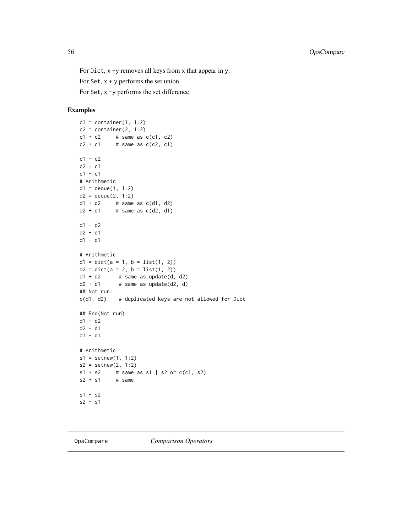For Dict, x -y removes all keys from x that appear in y.

For Set,  $x + y$  performs the set union.

For Set, x -y performs the set difference.

# Examples

```
c1 = \text{container}(1, 1:2)c2 = \text{container}(2, 1:2)c1 + c2 # same as c(c1, c2)<br>c2 + c1 # same as c(c2, c1)
           # same as c(c2, c1)c1 - c2c2 - c1c1 - c1# Arithmetic
d1 = degue(1, 1:2)d2 = degue(2, 1:2)d1 + d2 # same as c(d1, d2)d2 + d1 # same as c(d2, d1)d1 - d2
d2 - d1
d1 - d1
# Arithmetic
d1 = dict(a = 1, b = list(1, 2))d2 = dict(a = 2, b = list(1, 2))d1 + d2 # same as update(d, d2)
d2 + d1 # same as update(d2, d)
## Not run:
c(d1, d2) # duplicated keys are not allowed for Dict
## End(Not run)
d1 - d2
d2 - d1
d1 - d1
# Arithmetic
s1 = setnew(1, 1:2)s2 = setnew(2, 1:2)s1 + s2 # same as s1 | s2 or c(c1, s2)s2 + s1 # same
s1 - s2
s2 - s1
```
OpsCompare *Comparison Operators*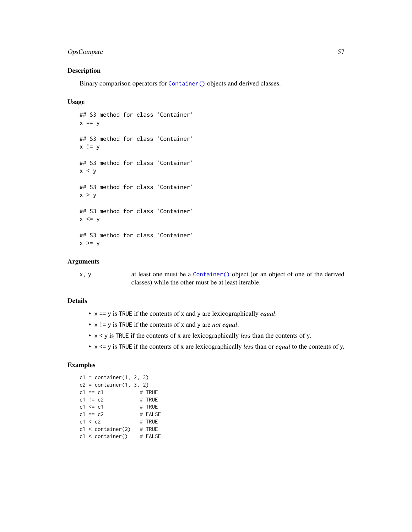# OpsCompare 57

# Description

Binary comparison operators for [Container\(\)](#page-9-0) objects and derived classes.

## Usage

```
## S3 method for class 'Container'
x == y## S3 method for class 'Container'
x != y## S3 method for class 'Container'
x < y## S3 method for class 'Container'
x > y## S3 method for class 'Container'
x \le y## S3 method for class 'Container'
x \ge y
```
## Arguments

x, y at least one must be a [Container\(\)](#page-9-0) object (or an object of one of the derived classes) while the other must be at least iterable.

# Details

- x == y is TRUE if the contents of x and y are lexicographically *equal*.
- x != y is TRUE if the contents of x and y are *not equal*.
- x < y is TRUE if the contents of x are lexicographically *less* than the contents of y.
- x <= y is TRUE if the contents of x are lexicographically *less* than or *equal* to the contents of y.

```
c1 = \text{container}(1, 2, 3)c2 = \text{container}(1, 3, 2)c1 == c1 # TRUE
c1 != c2 # TRUE<br>c1 <= c1 # TRUE
c1 \leq c1c1 = c2 # FALSE
c_1 -- c_2<br>c_1 < c_2 # TRUE
c1 < container(2) # TRUE
c1 < container() # FALSE
```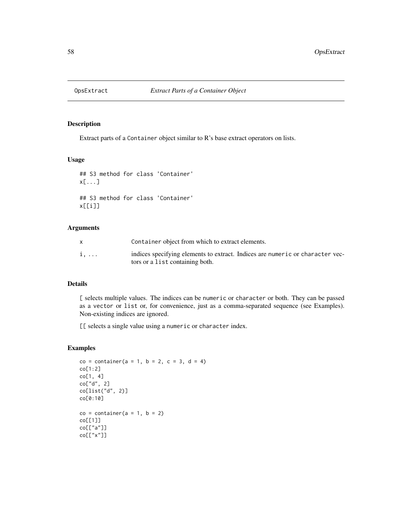Extract parts of a Container object similar to R's base extract operators on lists.

## Usage

```
## S3 method for class 'Container'
x[...]
## S3 method for class 'Container'
x[[i]]
```
#### Arguments

|             | Container object from which to extract elements.                                                                 |
|-------------|------------------------------------------------------------------------------------------------------------------|
| $i, \ldots$ | indices specifying elements to extract. Indices are numeric or character vec-<br>tors or a list containing both. |

# Details

[ selects multiple values. The indices can be numeric or character or both. They can be passed as a vector or list or, for convenience, just as a comma-separated sequence (see Examples). Non-existing indices are ignored.

[[ selects a single value using a numeric or character index.

```
co = container(a = 1, b = 2, c = 3, d = 4)co[1:2]
co[1, 4]
co["d", 2]
co[list("d", 2)]
co[0:10]
co = container(a = 1, b = 2)co[[1]]
co[["a"]]
co[["x"]]
```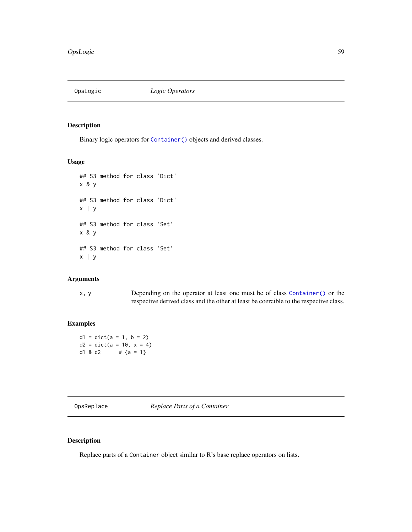Binary logic operators for [Container\(\)](#page-9-0) objects and derived classes.

# Usage

```
## S3 method for class 'Dict'
x & y
## S3 method for class 'Dict'
x | y
## S3 method for class 'Set'
x & y
## S3 method for class 'Set'
x \mid y
```
# Arguments

| x, y | Depending on the operator at least one must be of class Container () or the           |
|------|---------------------------------------------------------------------------------------|
|      | respective derived class and the other at least be coercible to the respective class. |

# Examples

 $d1 = dict(a = 1, b = 2)$  $d2 = dict(a = 10, x = 4)$ d1 & d2  $\#$  {a = 1}

OpsReplace *Replace Parts of a Container*

# Description

Replace parts of a Container object similar to R's base replace operators on lists.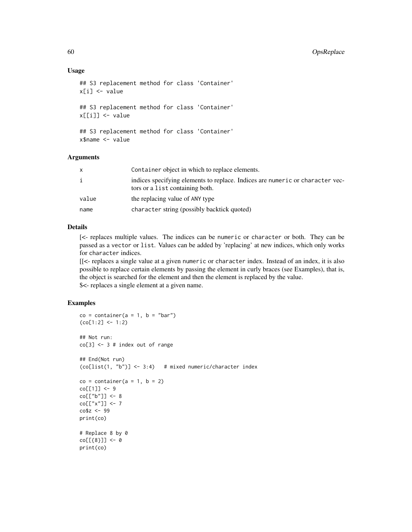### Usage

```
## S3 replacement method for class 'Container'
x[i] <- value
## S3 replacement method for class 'Container'
x[[i]] <- value
## S3 replacement method for class 'Container'
x$name <- value
```
## Arguments

| x     | Container object in which to replace elements.                                                                   |
|-------|------------------------------------------------------------------------------------------------------------------|
| i     | indices specifying elements to replace. Indices are numeric or character vec-<br>tors or a list containing both. |
| value | the replacing value of ANY type                                                                                  |
| name  | character string (possibly backtick quoted)                                                                      |

## Details

[<- replaces multiple values. The indices can be numeric or character or both. They can be passed as a vector or list. Values can be added by 'replacing' at new indices, which only works for character indices.

[[<- replaces a single value at a given numeric or character index. Instead of an index, it is also possible to replace certain elements by passing the element in curly braces (see Examples), that is, the object is searched for the element and then the element is replaced by the value. \$<- replaces a single element at a given name.

```
co = container(a = 1, b = "bar")(co[1:2] < -1:2)## Not run:
co[3] <- 3 # index out of range
## End(Not run)
(co[list(1, "b")] < -3:4) # mixed numeric/character index
co = container(a = 1, b = 2)co[[1]] <- 9
co[["b"]] <- 8
co[["x"]] <- 7
co$z <- 99
print(co)
# Replace 8 by 0
co[[{8}]] <- 0
print(co)
```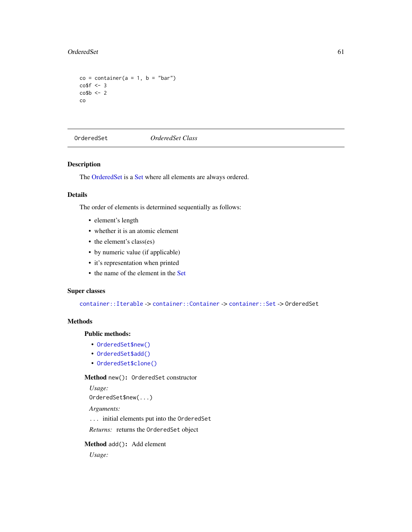#### OrderedSet 61

```
co = container(a = 1, b = "bar")co$f <- 3
\cosh \leq -2co
```
<span id="page-60-0"></span>OrderedSet *OrderedSet Class*

# Description

The [OrderedSet](#page-60-0) is a [Set](#page-73-0) where all elements are always ordered.

#### Details

The order of elements is determined sequentially as follows:

- element's length
- whether it is an atomic element
- the element's class(es)
- by numeric value (if applicable)
- it's representation when printed
- the name of the element in the [Set](#page-73-0)

# Super classes

[container::Iterable](#page-0-0) -> [container::Container](#page-0-0) -> [container::Set](#page-0-0) -> OrderedSet

## Methods

# Public methods:

- [OrderedSet\\$new\(\)](#page-10-0)
- [OrderedSet\\$add\(\)](#page-10-1)
- [OrderedSet\\$clone\(\)](#page-15-0)

## Method new(): OrderedSet constructor

*Usage:* OrderedSet\$new(...) *Arguments:*

... initial elements put into the OrderedSet

*Returns:* returns the OrderedSet object

# Method add(): Add element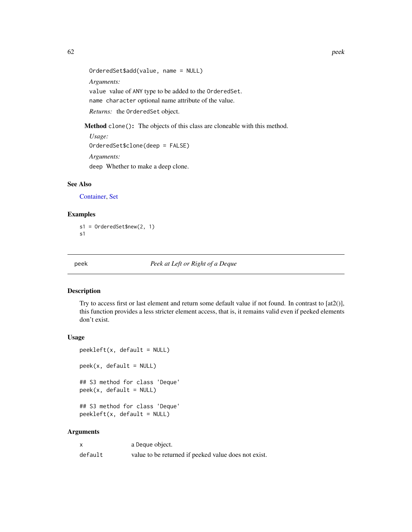OrderedSet\$add(value, name = NULL) *Arguments:* value value of ANY type to be added to the OrderedSet. name character optional name attribute of the value. *Returns:* the OrderedSet object.

Method clone(): The objects of this class are cloneable with this method.

*Usage:* OrderedSet\$clone(deep = FALSE) *Arguments:* deep Whether to make a deep clone.

## See Also

[Container,](#page-9-0) [Set](#page-73-0)

## Examples

s1 = OrderedSet\$new(2, 1) s1

<span id="page-61-0"></span>peek *Peek at Left or Right of a Deque*

### Description

Try to access first or last element and return some default value if not found. In contrast to [at2()], this function provides a less stricter element access, that is, it remains valid even if peeked elements don't exist.

## Usage

```
peekleft(x, default = NULL)peek(x, default = NULL)## S3 method for class 'Deque'
peek(x, default = NULL)## S3 method for class 'Deque'
peekleft(x, default = NULL)
```
# Arguments

|         | a Deque object.                                      |
|---------|------------------------------------------------------|
| default | value to be returned if peeked value does not exist. |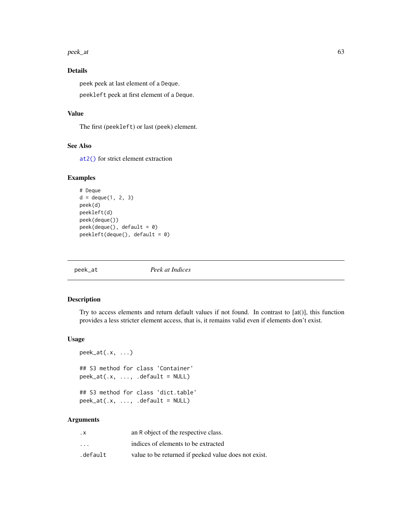$peck\_at$  63

# Details

peek peek at last element of a Deque. peekleft peek at first element of a Deque.

## Value

The first (peekleft) or last (peek) element.

## See Also

[at2\(\)](#page-5-0) for strict element extraction

# Examples

```
# Deque
d = degue(1, 2, 3)peek(d)
peekleft(d)
peek(deque())
peek(deque(), default = 0)
peekleft(deque(), default = 0)
```
peek\_at *Peek at Indices*

# **Description**

Try to access elements and return default values if not found. In contrast to [at()], this function provides a less stricter element access, that is, it remains valid even if elements don't exist.

## Usage

```
peek_at(.x, ...)
## S3 method for class 'Container'
peek_at(.x, ..., default = NULL)## S3 method for class 'dict.table'
peek_at(.x, ..., .default = NULL)
```
# Arguments

| . х                     | an R object of the respective class.                 |
|-------------------------|------------------------------------------------------|
| $\cdot$ $\cdot$ $\cdot$ | indices of elements to be extracted                  |
| .default                | value to be returned if peeked value does not exist. |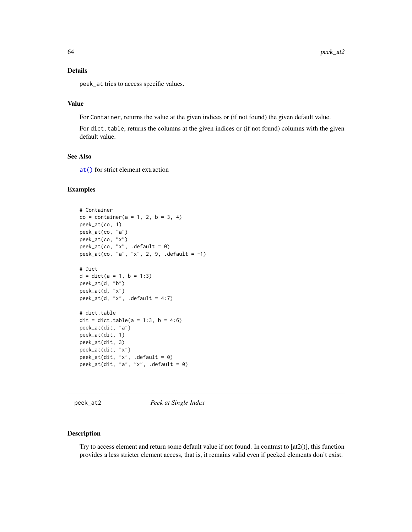#### Details

peek\_at tries to access specific values.

# Value

For Container, returns the value at the given indices or (if not found) the given default value.

For dict. table, returns the columns at the given indices or (if not found) columns with the given default value.

# See Also

[at\(\)](#page-4-0) for strict element extraction

#### Examples

```
# Container
co = container(a = 1, 2, b = 3, 4)peek_at(co, 1)
peek_at(co, "a")
peek_at(co, "x")
\text{peak}_\text{at}(\text{co}, 'x'', \text{ .default = 0})peek_at(co, "a", "x", 2, 9, .default = -1)
# Dict
d = dict(a = 1, b = 1:3)peek_at(d, "b")
peek_at(d, "x")
peek_at(d, "x", .default = 4:7)# dict.table
dit = dict.table(a = 1:3, b = 4:6)
peek_at(dit, "a")
peek_at(dit, 1)
peek_at(dit, 3)
peek_at(dit, "x")
peek_at(dit, "x", .default = 0)
peek_at(dit, "a", "x", .default = 0)
```
peek\_at2 *Peek at Single Index*

#### Description

Try to access element and return some default value if not found. In contrast to [at2()], this function provides a less stricter element access, that is, it remains valid even if peeked elements don't exist.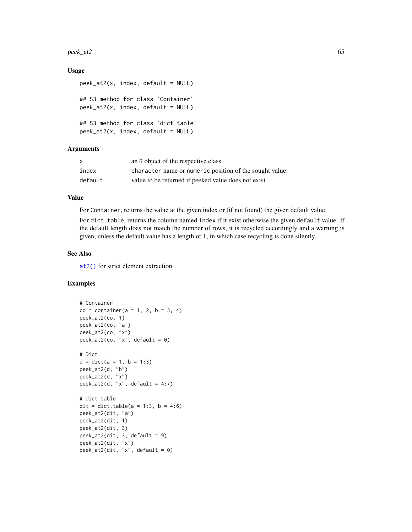#### $\mu$  peek\_at2 65

## Usage

```
peek_at2(x, index, default = NULL)## S3 method for class 'Container'
peek_at2(x, index, default = NULL)## S3 method for class 'dict.table'
peek_at2(x, index, default = NULL)
```
## **Arguments**

| X       | an R object of the respective class.                    |
|---------|---------------------------------------------------------|
| index   | character name or numeric position of the sought value. |
| default | value to be returned if peeked value does not exist.    |

#### Value

For Container, returns the value at the given index or (if not found) the given default value.

For dict. table, returns the column named index if it exist otherwise the given default value. If the default length does not match the number of rows, it is recycled accordingly and a warning is given, unless the default value has a length of 1, in which case recycling is done silently.

## See Also

[at2\(\)](#page-5-0) for strict element extraction

```
# Container
co = container(a = 1, 2, b = 3, 4)peek_at2(co, 1)
peek_at2(co, "a")
peek_at2(co, "x")
peek_at2(co, "x", default = 0)
# Dict
d = dict(a = 1, b = 1:3)peek_at2(d, "b")
peek_at2(d, "x")
peek_at2(d, "x", default = 4:7)# dict.table
dit = dict.table(a = 1:3, b = 4:6)
peek_at2(dit, "a")
peek_at2(dit, 1)
peek_at2(dit, 3)
peek_at2(dit, 3, default = 9)
peek_at2(dit, "x")
peek_at2(dit, "x", default = 0)
```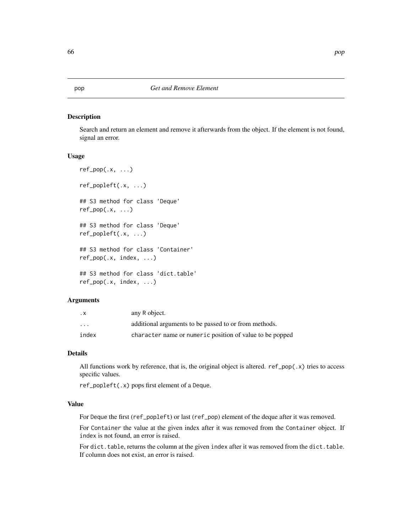Search and return an element and remove it afterwards from the object. If the element is not found, signal an error.

#### Usage

```
ref\_pop(.x, ...)ref_popleft(.x, ...)
## S3 method for class 'Deque'
ref\_pop(.x, ...)## S3 method for class 'Deque'
ref_popleft(.x, ...)
## S3 method for class 'Container'
ref_pop(.x, index, ...)
## S3 method for class 'dict.table'
ref_pop(.x, index, ...)
```
# Arguments

| . х                     | any R object.                                            |
|-------------------------|----------------------------------------------------------|
| $\cdot$ $\cdot$ $\cdot$ | additional arguments to be passed to or from methods.    |
| index                   | character name or numeric position of value to be popped |

## Details

All functions work by reference, that is, the original object is altered.  $ref\_pop(.x)$  tries to access specific values.

ref\_popleft(.x) pops first element of a Deque.

## Value

For Deque the first (ref\_popleft) or last (ref\_pop) element of the deque after it was removed.

For Container the value at the given index after it was removed from the Container object. If index is not found, an error is raised.

For dict.table, returns the column at the given index after it was removed from the dict.table. If column does not exist, an error is raised.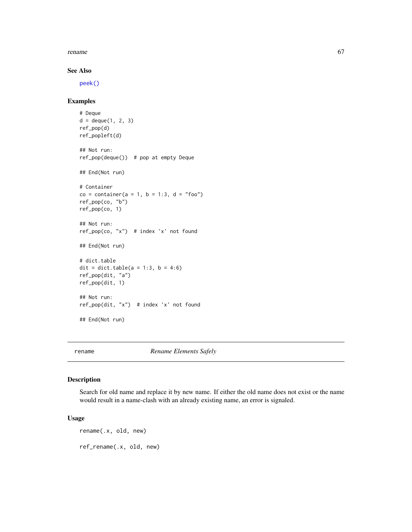#### rename 67

## See Also

[peek\(\)](#page-61-0)

# Examples

```
# Deque
d = degue(1, 2, 3)ref_pop(d)
ref_popleft(d)
## Not run:
ref_pop(deque()) # pop at empty Deque
## End(Not run)
# Container
co = container(a = 1, b = 1:3, d = "foo")ref_pop(co, "b")
ref_pop(co, 1)
## Not run:
ref_pop(co, "x") # index 'x' not found
## End(Not run)
# dict.table
dit = dict.table(a = 1:3, b = 4:6)
ref_pop(dit, "a")
ref_pop(dit, 1)
## Not run:
ref_pop(dit, "x") # index 'x' not found
## End(Not run)
```
rename *Rename Elements Safely*

#### Description

Search for old name and replace it by new name. If either the old name does not exist or the name would result in a name-clash with an already existing name, an error is signaled.

# Usage

rename(.x, old, new) ref\_rename(.x, old, new)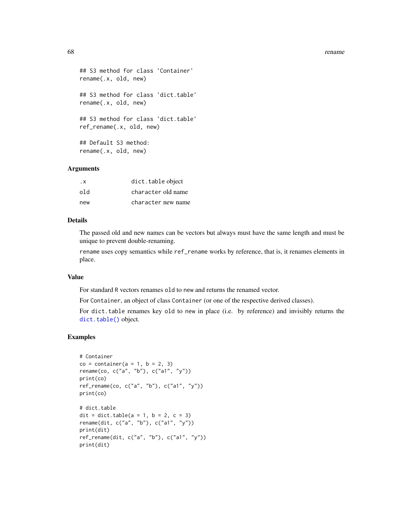#### 68 rename control of the control of the control of the control of the control of the control of the control of the control of the control of the control of the control of the control of the control of the control of the co

```
## S3 method for class 'Container'
rename(.x, old, new)
## S3 method for class 'dict.table'
rename(.x, old, new)
## S3 method for class 'dict.table'
ref_rename(.x, old, new)
## Default S3 method:
rename(.x, old, new)
```
# Arguments

| . X | dict.table object  |
|-----|--------------------|
| old | character old name |
| new | character new name |

## Details

The passed old and new names can be vectors but always must have the same length and must be unique to prevent double-renaming.

rename uses copy semantics while ref\_rename works by reference, that is, it renames elements in place.

## Value

For standard R vectors renames old to new and returns the renamed vector.

For Container, an object of class Container (or one of the respective derived classes).

For dict.table renames key old to new in place (i.e. by reference) and invisibly returns the [dict.table\(\)](#page-36-0) object.

```
# Container
co = container(a = 1, b = 2, 3)rename(co, c("a", "b"), c("a1", "y"))
print(co)
ref_rename(co, c("a", "b"), c("a1", "y"))
print(co)
# dict.table
dit = dict.table(a = 1, b = 2, c = 3)
rename(dit, c("a", "b"), c("a1", "y"))
print(dit)
ref_rename(dit, c("a", "b"), c("a1", "y"))
print(dit)
```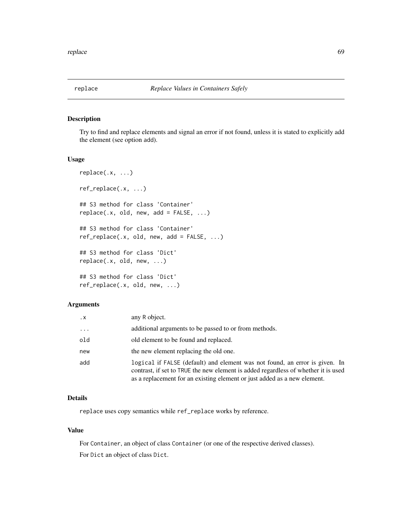Try to find and replace elements and signal an error if not found, unless it is stated to explicitly add the element (see option add).

#### Usage

```
replace(.x, ...)
ref_replace(.x, ...)
## S3 method for class 'Container'
replace(x, old, new, add = FALSE, ...)## S3 method for class 'Container'
ref\_replace(x, old, new, add = FALSE, ...)## S3 method for class 'Dict'
replace(.x, old, new, ...)
## S3 method for class 'Dict'
ref_replace(.x, old, new, ...)
```
# Arguments

| $\cdot$ X | any R object.                                                                                                                                                                                                                                 |
|-----------|-----------------------------------------------------------------------------------------------------------------------------------------------------------------------------------------------------------------------------------------------|
| $\ddots$  | additional arguments to be passed to or from methods.                                                                                                                                                                                         |
| old       | old element to be found and replaced.                                                                                                                                                                                                         |
| new       | the new element replacing the old one.                                                                                                                                                                                                        |
| add       | logical if FALSE (default) and element was not found, an error is given. In<br>contrast, if set to TRUE the new element is added regardless of whether it is used<br>as a replacement for an existing element or just added as a new element. |

## Details

replace uses copy semantics while ref\_replace works by reference.

# Value

For Container, an object of class Container (or one of the respective derived classes). For Dict an object of class Dict.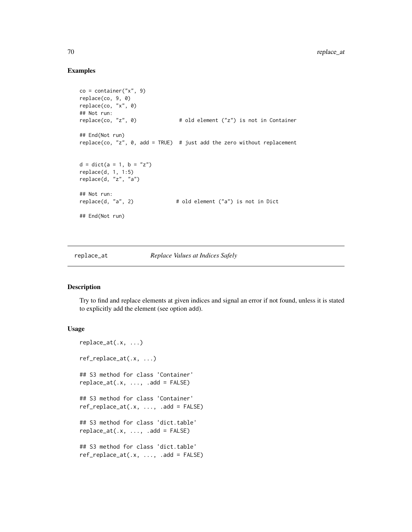## Examples

```
co = container('x'', 9)replace(co, 9, 0)
replace(co, "x", 0)
## Not run:
replace(co, "z", 0) # old element ("z") is not in Container
## End(Not run)
replace(co, "z", 0, add = TRUE) # just add the zero without replacement
d = dict(a = 1, b = "z")replace(d, 1, 1:5)
replace(d, "z", "a")
## Not run:
replace(d, "a", 2) # old element ("a") is not in Dict
## End(Not run)
```
# replace\_at *Replace Values at Indices Safely*

## Description

Try to find and replace elements at given indices and signal an error if not found, unless it is stated to explicitly add the element (see option add).

```
replace_at(.x, ...)
ref_replace_at(.x, ...)
## S3 method for class 'Container'
replace_at(.x, ..., add = FALSE)## S3 method for class 'Container'
ref\_replace\_at(.x, ..., .add = FALSE)## S3 method for class 'dict.table'
replace_at(.x, ..., add = FALSE)## S3 method for class 'dict.table'
ref\_replace\_at(.x, ..., .add = FALSE)
```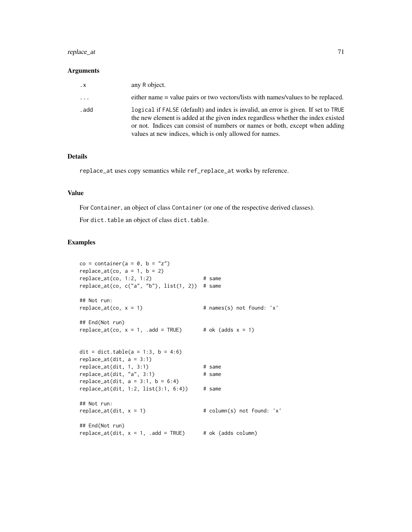# replace\_at 71

#### Arguments

| $\cdot$ X | any R object.                                                                                                                                                                                                                                                                                                    |
|-----------|------------------------------------------------------------------------------------------------------------------------------------------------------------------------------------------------------------------------------------------------------------------------------------------------------------------|
| .         | either name = value pairs or two vectors/lists with names/values to be replaced.                                                                                                                                                                                                                                 |
| . add     | logical if FALSE (default) and index is invalid, an error is given. If set to TRUE<br>the new element is added at the given index regardless whether the index existed<br>or not. Indices can consist of numbers or names or both, except when adding<br>values at new indices, which is only allowed for names. |

## Details

replace\_at uses copy semantics while ref\_replace\_at works by reference.

#### Value

For Container, an object of class Container (or one of the respective derived classes).

For dict.table an object of class dict.table.

```
co = container(a = 0, b = "z")replace_at(co, a = 1, b = 2)
replace_at(co, 1:2, 1:2) # same
replace_at(co, c("a", "b"), list(1, 2)) # same## Not run:
replace\_at(co, x = 1) # names(s) not found: 'x'
## End(Not run)
replace_at(co, x = 1, .add = TRUE) # ok (adds x = 1)
dit = dict.table(a = 1:3, b = 4:6)
replace_at(dit, a = 3:1)replace_at(di, 1, 3:1) # same
replace_at(di, 'a', 3:1) # same
replace_at(dit, a = 3:1, b = 6:4)
replace_at(dt, 1:2, list(3:1, 6:4)) # same
## Not run:
replace\_at(dit, x = 1) # column(s) not found: 'x'## End(Not run)
replace_at(dit, x = 1, .add = TRUE) # ok (adds column)
```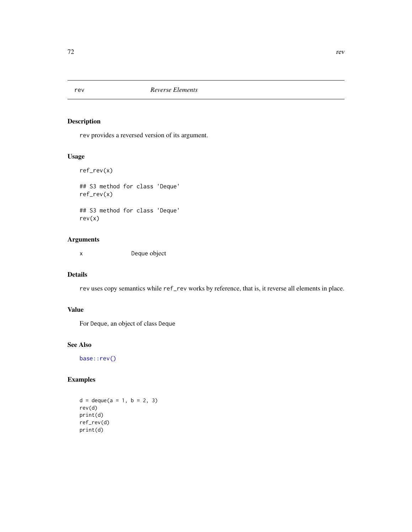rev provides a reversed version of its argument.

# Usage

ref\_rev(x) ## S3 method for class 'Deque' ref\_rev(x) ## S3 method for class 'Deque' rev(x)

# Arguments

x Deque object

# Details

rev uses copy semantics while ref\_rev works by reference, that is, it reverse all elements in place.

# Value

For Deque, an object of class Deque

# See Also

[base::rev\(\)](#page-0-0)

```
d = \text{deque}(a = 1, b = 2, 3)rev(d)
print(d)
ref_rev(d)
print(d)
```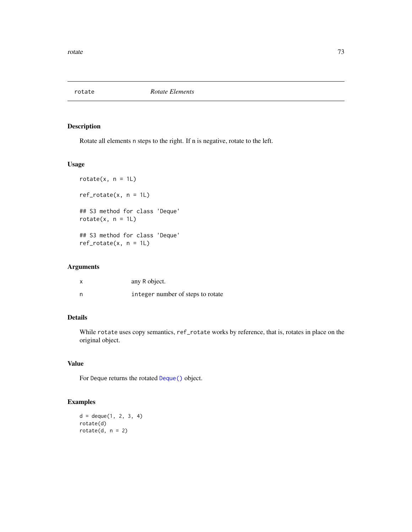<span id="page-72-0"></span>

# Description

Rotate all elements n steps to the right. If n is negative, rotate to the left.

#### Usage

```
rotate(x, n = 1L)ref\_rotate(x, n = 1L)## S3 method for class 'Deque'
rotate(x, n = 1L)## S3 method for class 'Deque'
ref\_rotate(x, n = 1L)
```
#### Arguments

|     | any R object.                     |
|-----|-----------------------------------|
| - n | integer number of steps to rotate |

# Details

While rotate uses copy semantics, ref\_rotate works by reference, that is, rotates in place on the original object.

# Value

For Deque returns the rotated [Deque\(\)](#page-28-0) object.

# Examples

 $d = degue(1, 2, 3, 4)$ rotate(d) rotate $(d, n = 2)$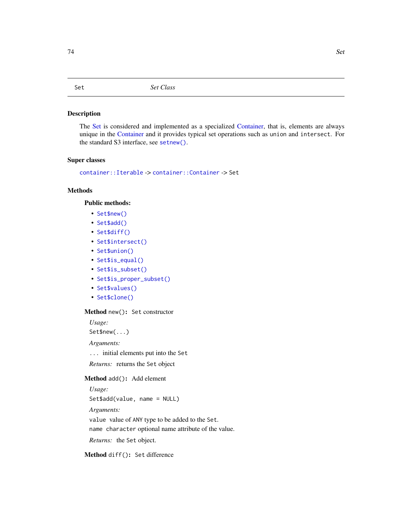#### <span id="page-73-2"></span><span id="page-73-0"></span>Description

The [Set](#page-73-0) is considered and implemented as a specialized [Container,](#page-9-0) that is, elements are always unique in the [Container](#page-9-0) and it provides typical set operations such as union and intersect. For the standard S3 interface, see [setnew\(\)](#page-75-0).

# Super classes

[container::Iterable](#page-0-0) -> [container::Container](#page-0-0) -> Set

# **Methods**

# Public methods:

- [Set\\$new\(\)](#page-10-0)
- [Set\\$add\(\)](#page-10-1)
- [Set\\$diff\(\)](#page-73-1)
- [Set\\$intersect\(\)](#page-74-0)
- [Set\\$union\(\)](#page-74-1)
- [Set\\$is\\_equal\(\)](#page-74-2)
- [Set\\$is\\_subset\(\)](#page-74-3)
- [Set\\$is\\_proper\\_subset\(\)](#page-74-4)
- [Set\\$values\(\)](#page-15-0)
- [Set\\$clone\(\)](#page-15-1)

#### Method new(): Set constructor

*Usage:*

Set\$new(...)

*Arguments:*

... initial elements put into the Set

*Returns:* returns the Set object

#### Method add(): Add element

*Usage:*

Set\$add(value, name = NULL)

*Arguments:*

value value of ANY type to be added to the Set.

name character optional name attribute of the value.

*Returns:* the Set object.

<span id="page-73-1"></span>Method diff(): Set difference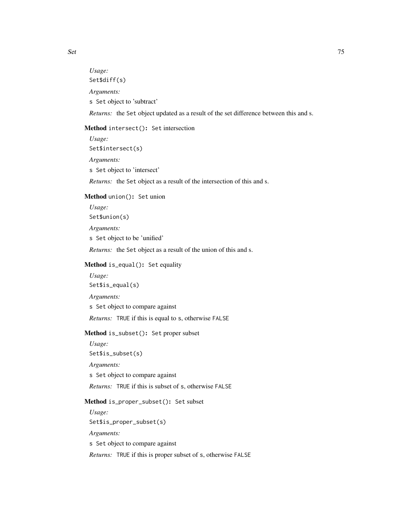*Usage:* Set\$diff(s) *Arguments:* s Set object to 'subtract'

*Returns:* the Set object updated as a result of the set difference between this and s.

# <span id="page-74-0"></span>Method intersect(): Set intersection

*Usage:* Set\$intersect(s) *Arguments:* s Set object to 'intersect' *Returns:* the Set object as a result of the intersection of this and s.

# <span id="page-74-1"></span>Method union(): Set union

*Usage:* Set\$union(s) *Arguments:* s Set object to be 'unified' *Returns:* the Set object as a result of the union of this and s.

# <span id="page-74-2"></span>Method is\_equal(): Set equality

*Usage:* Set\$is\_equal(s) *Arguments:* s Set object to compare against

*Returns:* TRUE if this is equal to s, otherwise FALSE

# <span id="page-74-3"></span>Method is\_subset(): Set proper subset

*Usage:* Set\$is\_subset(s)

*Arguments:*

s Set object to compare against

*Returns:* TRUE if this is subset of s, otherwise FALSE

# <span id="page-74-4"></span>Method is\_proper\_subset(): Set subset

*Usage:* Set\$is\_proper\_subset(s) *Arguments:* s Set object to compare against *Returns:* TRUE if this is proper subset of s, otherwise FALSE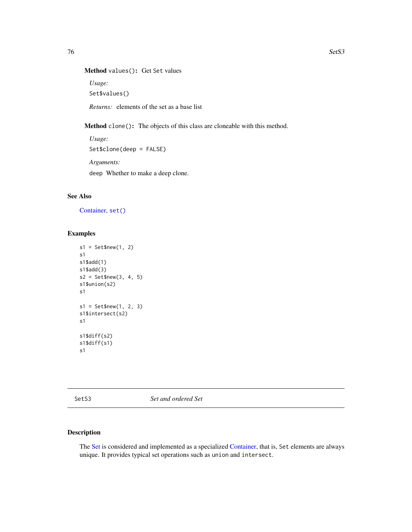```
Method values(): Get Set values
```
*Usage:*

Set\$values()

*Returns:* elements of the set as a base list

Method clone(): The objects of this class are cloneable with this method.

```
Usage:
Set$clone(deep = FALSE)
Arguments:
deep Whether to make a deep clone.
```
# See Also

[Container,](#page-9-0) [set\(\)](#page-0-0)

#### Examples

```
s1 = Set$new(1, 2)s1
s1$add(1)
s1$add(3)
s2 = Set$new(3, 4, 5)
s1$union(s2)
s1
s1 = Set$new(1, 2, 3)
s1$intersect(s2)
s1
s1$diff(s2)
s1$diff(s1)
s1
```
SetS3 *Set and ordered Set*

# <span id="page-75-0"></span>Description

The [Set](#page-73-0) is considered and implemented as a specialized [Container,](#page-9-0) that is, Set elements are always unique. It provides typical set operations such as union and intersect.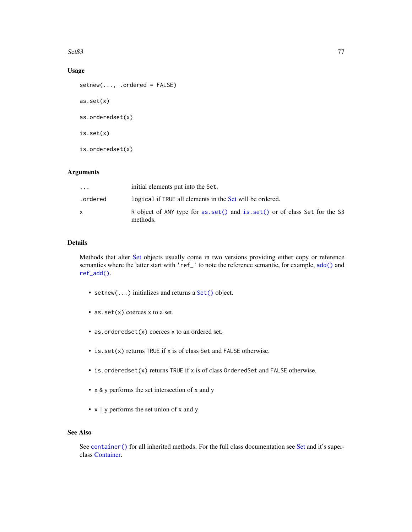#### <span id="page-76-0"></span> $Sets3$  77

# Usage

```
setnew(..., .ordered = FALSE)
as.set(x)
as.orderedset(x)
is.set(x)
is.orderedset(x)
```
# Arguments

| $\ddotsc$ | initial elements put into the Set.                                                      |
|-----------|-----------------------------------------------------------------------------------------|
| .ordered  | logical if TRUE all elements in the Set will be ordered.                                |
|           | R object of ANY type for as.set () and is.set () or of class Set for the S3<br>methods. |

#### Details

Methods that alter [Set](#page-73-0) objects usually come in two versions providing either copy or reference semantics where the latter start with 'ref\_' to note the reference semantic, for example, [add\(\)](#page-2-0) and [ref\\_add\(\)](#page-2-1).

- setnew(...) initializes and returns a [Set\(\)](#page-73-0) object.
- as.set(x) coerces x to a set.
- as.orderedset(x) coerces x to an ordered set.
- is.set(x) returns TRUE if x is of class Set and FALSE otherwise.
- is.orderedset(x) returns TRUE if x is of class OrderedSet and FALSE otherwise.
- x & y performs the set intersection of x and y
- x | y performs the set union of x and y

# See Also

See [container\(\)](#page-16-0) for all inherited methods. For the full class documentation see [Set](#page-73-0) and it's superclass [Container.](#page-9-0)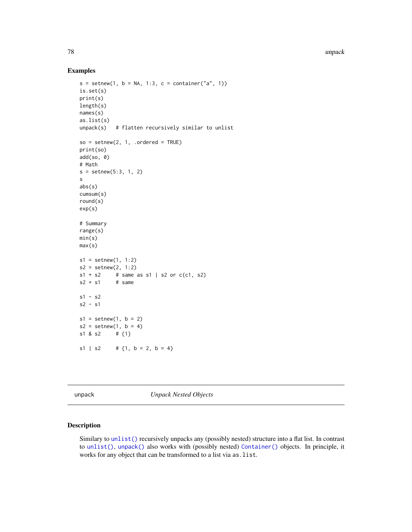78 unpack

#### Examples

```
s = setnew(1, b = NA, 1:3, c = container("a", 1))is.set(s)
print(s)
length(s)
names(s)
as.list(s)
unpack(s) # flatten recursively similar to unlist
so = setnew(2, 1, .ordered = TRUE)print(so)
add(so, 0)
# Math
s = setnew(5:3, 1, 2)s
abs(s)
cumsum(s)
round(s)
exp(s)
# Summary
range(s)
min(s)
max(s)
s1 = setnew(1, 1:2)s2 = setnew(2, 1:2)s1 + s2 # same as s1 | s2 or c(c1, s2)s2 + s1 # same
s1 - s2s2 - s1
s1 = setnew(1, b = 2)s2 = setnew(1, b = 4)s1 & s2 # {1}
s1 | s2 # {1, b = 2, b = 4}
```
unpack *Unpack Nested Objects*

# Description

Similary to [unlist\(\)](#page-0-0) recursively unpacks any (possibly nested) structure into a flat list. In contrast to [unlist\(\)](#page-0-0), [unpack\(\)](#page-77-0) also works with (possibly nested) [Container\(\)](#page-9-0) objects. In principle, it works for any object that can be transformed to a list via as.list.

<span id="page-77-1"></span>

<span id="page-77-0"></span>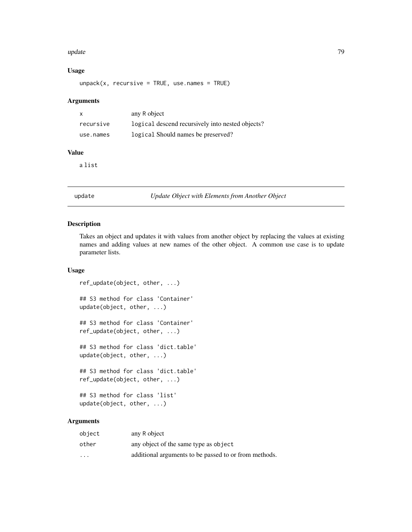#### <span id="page-78-0"></span>update **79**

# Usage

 $unpack(x, recursive = TRUE, use.name = TRUE)$ 

#### Arguments

| $\mathsf{x}$ | any R object                                     |
|--------------|--------------------------------------------------|
| recursive    | logical descend recursively into nested objects? |
| use.names    | logical Should names be preserved?               |

# Value

a list

update *Update Object with Elements from Another Object*

# Description

Takes an object and updates it with values from another object by replacing the values at existing names and adding values at new names of the other object. A common use case is to update parameter lists.

# Usage

ref\_update(object, other, ...) ## S3 method for class 'Container' update(object, other, ...) ## S3 method for class 'Container' ref\_update(object, other, ...) ## S3 method for class 'dict.table' update(object, other, ...) ## S3 method for class 'dict.table' ref\_update(object, other, ...) ## S3 method for class 'list' update(object, other, ...)

# Arguments

| object            | any R object                                          |
|-------------------|-------------------------------------------------------|
| other             | any object of the same type as object                 |
| $\cdot\cdot\cdot$ | additional arguments to be passed to or from methods. |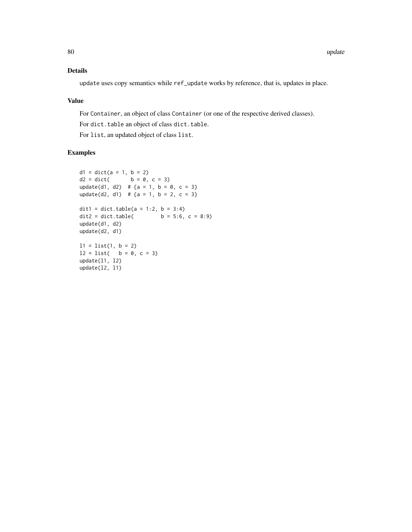# Details

update uses copy semantics while ref\_update works by reference, that is, updates in place.

# Value

For Container, an object of class Container (or one of the respective derived classes).

For dict.table an object of class dict.table.

For list, an updated object of class list.

# Examples

```
d1 = dict(a = 1, b = 2)d2 = dict( b = 0, c = 3)update(d1, d2) # {a = 1, b = 0, c = 3}
update(d2, d1) # {a = 1, b = 2, c = 3}
dit1 = dict.table(a = 1:2, b = 3:4)<br>dit2 = dict.table( b = 5:6,
                     b = 5:6, c = 8:9update(d1, d2)
update(d2, d1)
11 = list(1, b = 2)12 = list( b = 0, c = 3)update(l1, l2)
update(l2, l1)
```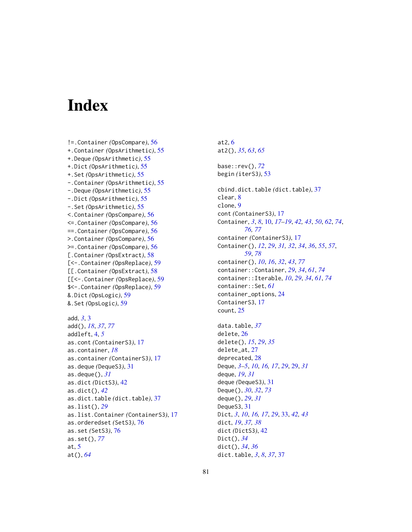# **Index**

!=.Container *(*OpsCompare*)*, [56](#page-55-0) +.Container *(*OpsArithmetic*)*, [55](#page-54-0) +.Deque *(*OpsArithmetic*)*, [55](#page-54-0) +.Dict *(*OpsArithmetic*)*, [55](#page-54-0) +.Set *(*OpsArithmetic*)*, [55](#page-54-0) -.Container *(*OpsArithmetic*)*, [55](#page-54-0) -.Deque *(*OpsArithmetic*)*, [55](#page-54-0) -.Dict *(*OpsArithmetic*)*, [55](#page-54-0) -.Set *(*OpsArithmetic*)*, [55](#page-54-0) <.Container *(*OpsCompare*)*, [56](#page-55-0) <=.Container *(*OpsCompare*)*, [56](#page-55-0) ==.Container *(*OpsCompare*)*, [56](#page-55-0) >.Container *(*OpsCompare*)*, [56](#page-55-0) >=.Container *(*OpsCompare*)*, [56](#page-55-0) [.Container *(*OpsExtract*)*, [58](#page-57-0) [<-.Container *(*OpsReplace*)*, [59](#page-58-0) [[.Container *(*OpsExtract*)*, [58](#page-57-0) [[<-.Container *(*OpsReplace*)*, [59](#page-58-0) \$<-.Container *(*OpsReplace*)*, [59](#page-58-0) &.Dict *(*OpsLogic*)*, [59](#page-58-0) &.Set *(*OpsLogic*)*, [59](#page-58-0) add, *[3](#page-2-2)*, [3](#page-2-2) add(), *[18](#page-17-0)*, *[37](#page-36-0)*, *[77](#page-76-0)* addleft, [4,](#page-3-0) *[5](#page-4-0)* as.cont *(*ContainerS3*)*, [17](#page-16-1) as.container, *[18](#page-17-0)* as.container *(*ContainerS3*)*, [17](#page-16-1) as.deque *(*DequeS3*)*, [31](#page-30-0) as.deque(), *[31](#page-30-0)* as.dict *(*DictS3*)*, [42](#page-41-0) as.dict(), *[42](#page-41-0)* as.dict.table *(*dict.table*)*, [37](#page-36-0) as.list(), *[29](#page-28-1)* as.list.Container *(*ContainerS3*)*, [17](#page-16-1) as.orderedset *(*SetS3*)*, [76](#page-75-1) as.set *(*SetS3*)*, [76](#page-75-1) as.set(), *[77](#page-76-0)* at, [5](#page-4-0) at(), *[64](#page-63-0)*

at2, [6](#page-5-0) at2(), *[35](#page-34-0)*, *[63](#page-62-0)*, *[65](#page-64-0)* base::rev(), *[72](#page-71-0)* begin *(*iterS3*)*, [53](#page-52-0) cbind.dict.table *(*dict.table*)*, [37](#page-36-0) clear, [8](#page-7-0) clone, [9](#page-8-0) cont *(*ContainerS3*)*, [17](#page-16-1) Container, *[3](#page-2-2)*, *[8](#page-7-0)*, [10,](#page-9-1) *[17](#page-16-1)[–19](#page-18-0)*, *[42,](#page-41-0) [43](#page-42-0)*, *[50](#page-49-0)*, *[62](#page-61-0)*, *[74](#page-73-2)*, *[76,](#page-75-1) [77](#page-76-0)* container *(*ContainerS3*)*, [17](#page-16-1) Container(), *[12](#page-11-0)*, *[29](#page-28-1)*, *[31,](#page-30-0) [32](#page-31-0)*, *[34](#page-33-0)*, *[36](#page-35-0)*, *[55](#page-54-0)*, *[57](#page-56-0)*, *[59](#page-58-0)*, *[78](#page-77-1)* container(), *[10](#page-9-1)*, *[16](#page-15-2)*, *[32](#page-31-0)*, *[43](#page-42-0)*, *[77](#page-76-0)* container::Container, *[29](#page-28-1)*, *[34](#page-33-0)*, *[61](#page-60-0)*, *[74](#page-73-2)* container::Iterable, *[10](#page-9-1)*, *[29](#page-28-1)*, *[34](#page-33-0)*, *[61](#page-60-0)*, *[74](#page-73-2)* container::Set, *[61](#page-60-0)* container\_options, [24](#page-23-0) ContainerS3, [17](#page-16-1) count, [25](#page-24-0) data.table, *[37](#page-36-0)* delete, [26](#page-25-0) delete(), *[15](#page-14-0)*, *[29](#page-28-1)*, *[35](#page-34-0)* delete\_at, [27](#page-26-0) deprecated, [28](#page-27-0) Deque, *[3–](#page-2-2)[5](#page-4-0)*, *[10](#page-9-1)*, *[16,](#page-15-2) [17](#page-16-1)*, *[29](#page-28-1)*, [29,](#page-28-1) *[31](#page-30-0)* deque, *[19](#page-18-0)*, *[31](#page-30-0)* deque *(*DequeS3*)*, [31](#page-30-0) Deque(), *[30](#page-29-0)*, *[32](#page-31-0)*, *[73](#page-72-0)* deque(), *[29](#page-28-1)*, *[31](#page-30-0)* DequeS3, [31](#page-30-0) Dict, *[3](#page-2-2)*, *[10](#page-9-1)*, *[16,](#page-15-2) [17](#page-16-1)*, *[29](#page-28-1)*, [33,](#page-32-0) *[42,](#page-41-0) [43](#page-42-0)* dict, *[19](#page-18-0)*, *[37,](#page-36-0) [38](#page-37-0)* dict *(*DictS3*)*, [42](#page-41-0) Dict(), *[34](#page-33-0)* dict(), *[34](#page-33-0)*, *[36](#page-35-0)* dict.table, *[3](#page-2-2)*, *[8](#page-7-0)*, *[37](#page-36-0)*, [37](#page-36-0)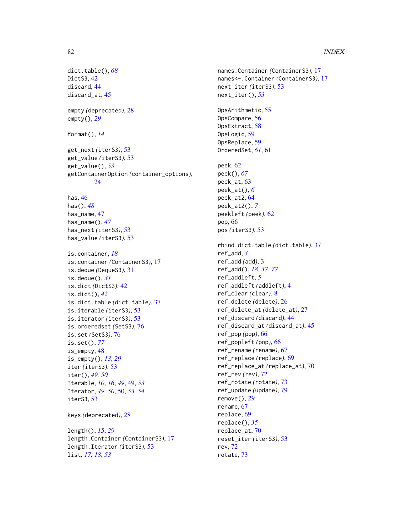# 82 INDEX

```
dict.table(), 68
DictS3, 42
discard, 44
discard_at, 45
empty (deprecated), 28
empty(), 29
format(), 14
get_next (iterS3), 53
get_value (iterS3), 53
get_value(), 53
getContainerOption (container_options),
        24
has, 46
has(), 48
has_name, 47
has_name(), 47
has_next (iterS3), 53
has_value (iterS3), 53
is.container, 18
is.container (ContainerS3), 17
is.deque (DequeS3), 31
is.deque(), 31
is.dict (DictS3), 42
is.dict(), 42
is.dict.table (dict.table), 37
is.iterable (iterS3), 53
is.iterator (iterS3), 53
is.orderedset (SetS3), 76
is.set (SetS3), 76
is.set(), 77
is_empty, 48
is_empty(), 13, 29
iter (iterS3), 53
iter(), 49, 50
Iterable, 10, 16, 49, 49, 53
Iterator, 49, 50, 50, 53, 54
iterS3, 53
keys (deprecated), 28
length(), 15, 29
length.Container (ContainerS3), 17
length.Iterator (iterS3), 53
```
list, *[17,](#page-16-1) [18](#page-17-0)*, *[53](#page-52-0)*

```
names.Container (ContainerS3), 17
names<-.Container (ContainerS3), 17
next_iter (iterS3), 53
next_iter(), 53
OpsArithmetic, 55
OpsCompare, 56
OpsExtract, 58
OpsLogic, 59
OpsReplace, 59
OrderedSet, 61, 61
peek, 62
peek(), 67
peek_at, 63
peek_at(), 6
peek_at2, 64
peek_at2(), 7
peekleft (peek), 62
pop, 66
pos (iterS3), 53
rbind.dict.table (dict.table), 37
ref_add, 3
ref_add (add), 3
ref_add(), 18, 37, 77
ref_addleft, 5
ref_addleft (addleft), 4
ref_clear (clear), 8
ref_delete (delete), 26
ref_delete_at (delete_at), 27
ref_discard (discard), 44
ref_discard_at (discard_at), 45
ref_pop (pop), 66
ref_popleft (pop), 66
ref_rename (rename), 67
ref_replace (replace), 69
ref_replace_at (replace_at), 70
ref_rev (rev), 72
ref_rotate (rotate), 73
ref_update (update), 79
remove(), 29
rename, 67
replace, 69
replace(), 35
replace_at, 70
reset_iter (iterS3), 53
rev, 72
rotate, 73
```